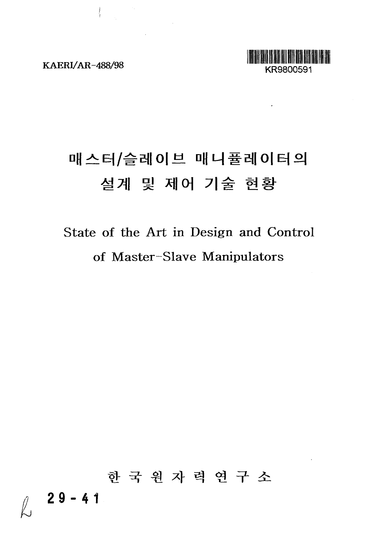$\label{eq:2.1} \left\{ \begin{array}{ll} \mathbb{E}[\mathbf{u}_1] & \mathbb{E}[\mathbf{u}_2] \\ \mathbb{E}[\mathbf{u}_1] & \mathbb{E}[\mathbf{u}_2] \end{array} \right.$ 

 $\mathcal{L}^{\text{max}}_{\text{max}}$  ,  $\mathcal{L}^{\text{max}}_{\text{max}}$ 



¥.

# 매스터/슬레이브 매니퓰레이터의 설계 및 제어 기술 현황

# State of the Art in Design and Control of Master-Slave Manipulators

한 국 원 자 력 연 구 소 **29-4 1**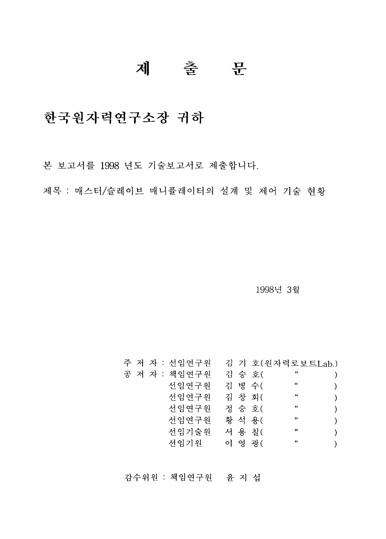## 제 출 문

## 한국원자력연구소장 귀하

본 보고서를 1998 년도 기술보고서로 제출합니다.

제목 : 매스터/슬레이브 매니퓰레이터의 설계 및 제어 기술 현황

1998년 3월

|  |  | 주 저 자 : 선임연구원 |  |        | 김 기 호(원자력로보트Lab.)    |  |
|--|--|---------------|--|--------|----------------------|--|
|  |  | 공 저 자 : 책임연구원 |  | 김 승 호( | $\ddot{\phantom{1}}$ |  |
|  |  | 선임연구원         |  | 김 병 수( | $\boldsymbol{\mu}$   |  |
|  |  | 선임연구원         |  | 김 창 회( | $\boldsymbol{\mu}$   |  |
|  |  | 서임연구원         |  | 정 승 호( | $\ddot{\phantom{a}}$ |  |
|  |  | 선임연구원         |  | 황 석 용( | $\boldsymbol{\mu}$   |  |
|  |  | 서임기술원         |  | 서 용 칠( | $\boldsymbol{\mu}$   |  |
|  |  | 선임기원          |  | 이 영광(  | $\ddot{\phantom{0}}$ |  |
|  |  |               |  |        |                      |  |

감수위원 : 책임연구원 윤 지 섭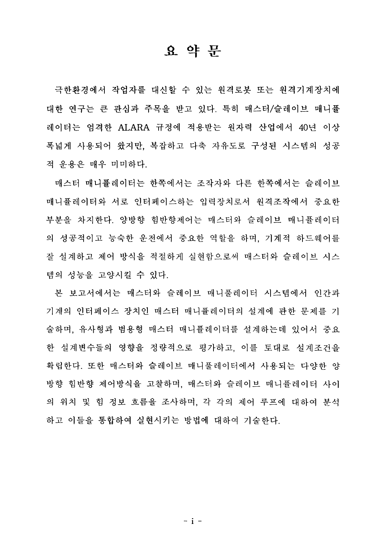### 요 약 뮤

극한환경에서 작업자를 대신할 수 있는 원격로봇 또는 원격기계장치에 대한 연구는 큰 관심과 주목을 받고 있다. 특히 매스터/슬레이브 매니퓰 레이터는 엄격한 ALARA 규정에 적용받는 원자력 산업에서 40년 이상 폭넓게 사용되어 왔지만, 복잡하고 다축 자유도로 구성된 시스템의 성공 적 운용은 매우 미미하다.

매스터 매니퓰레이터는 한쪽에서는 조작자와 다른 한쪽에서는 슬레이브 매니퓰레이터와 서로 인터페이스하는 입력장치로서 워격조작에서 중요하 부분을 차지한다. 양방향 힘반향제어는 매스터와 슬레이브 매니퓰레이터 의 성공적이고 능숙한 운전에서 중요한 역할을 하며, 기계적 하드웨어를 잘 설계하고 제어 방식을 적절하게 실현함으로써 매스터와 슬레이브 시스 템의 성능을 고양시킬 수 있다.

본 보고서에서는 매스터와 슬레이브 매니품레이터 시스템에서 인간과 기계의 인터페이스 장치인 매스터 매니퓰레이터의 설계에 관한 문제를 기 술하며, 유사형과 범용형 매스터 매니퓰레이터를 설계하는데 있어서 중요 한 설계변수들의 영향을 정량적으로 평가하고, 이를 토대로 설계조건을 확립한다. 또한 매스터와 슬레이브 매니풀레이터에서 사용되는 다양한 양 방향 힘반향 제어방식을 고찰하며, 매스터와 슬레이브 매니퓰레이터 사이 의 위치 및 힘 정보 흐름을 조사하며, 각 각의 제어 루프에 대하여 분석 하고 이들을 통합하여 실현시키는 방법에 대하여 기술하다.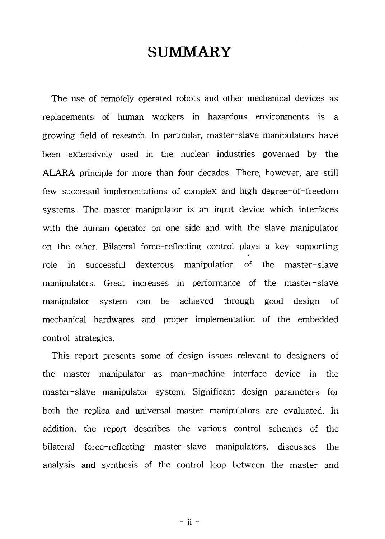## **SUMMARY**

The use of remotely operated robots and other mechanical devices as replacements of human workers in hazardous environments is a growing field of research. In particular, master-slave manipulators have been extensively used in the nuclear industries governed by the ALARA principle for more than four decades. There, however, are still few successul implementations of complex and high degree-of-freedom systems. The master manipulator is an input device which interfaces with the human operator on one side and with the slave manipulator on the other. Bilateral force-reflecting control plays a key supporting role in successful dexterous manipulation of the master-slave manipulators. Great increases in performance of the master-slave manipulator system can be achieved through good design of mechanical hardwares and proper implementation of the embedded control strategies.

This report presents some of design issues relevant to designers of the master manipulator as man-machine interface device in the master-slave manipulator system. Significant design parameters for both the replica and universal master manipulators are evaluated. In addition, the report describes the various control schemes of the bilateral force-reflecting master-slave manipulators, discusses the analysis and synthesis of the control loop between the master and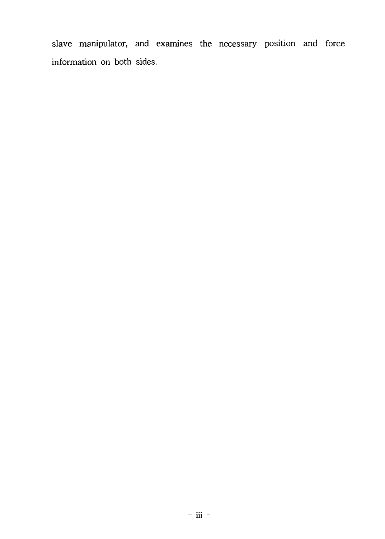slave manipulator, and examines the necessary position and force information on both sides.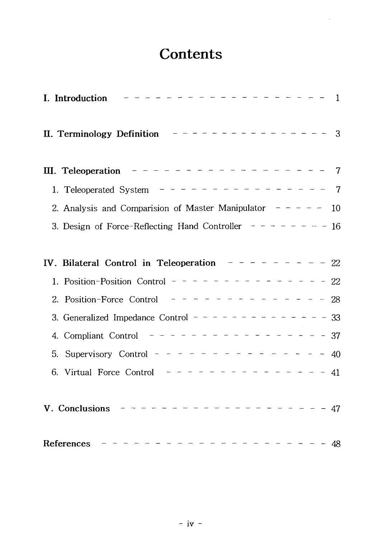## **Contents**

 $\ddot{\phantom{a}}$ 

| I. Introduction                                                          | $\mathbf{1}$   |
|--------------------------------------------------------------------------|----------------|
|                                                                          |                |
| III. Teleoperation $- - - - - - - - - - - - - - - - - - -$               | $\overline{7}$ |
| 1. Teleoperated System $- - - - - - - - - - - - - - - -$                 | 7              |
| 2. Analysis and Comparision of Master Manipulator $- - - -$              | 10             |
| 3. Design of Force-Reflecting Hand Controller $- - - - - - - 16$         |                |
|                                                                          |                |
| IV. Bilateral Control in Teleoperation $- - - - - - - - - - 22$          |                |
| 1. Position-Position Control - - - - - - - - - - - - - - -               | 22             |
| Position-Force Control $- - - - - - - - - - - - - -$<br>$\sim 100$<br>2. | 28             |
| 3. Generalized Impedance Control - - - - - - - - - - - - - - 33          |                |
|                                                                          |                |
| Supervisory Control - - - - - - - - - - - - -<br>5.                      | 40             |
| 6. Virtual Force Control $- - - - - - - - - - - - - - - - -$<br>$-41$    |                |
| V. Conclusions                                                           |                |
| - - - - - - - - - -<br>References<br>- 48                                |                |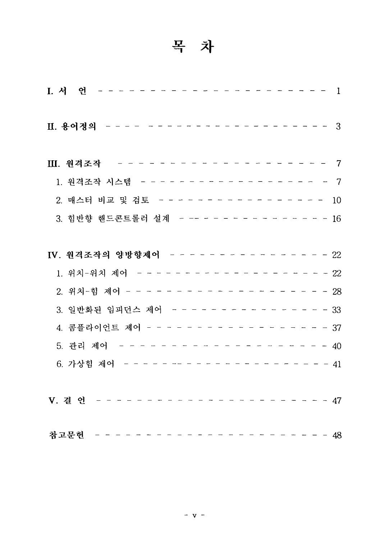# 목 차

| I. 서 언 ---------------                            | $\overline{1}$ |
|---------------------------------------------------|----------------|
|                                                   |                |
| Ⅲ. 원격조작 -------------------7                      |                |
| 1. 원격조작 시스템 - - - - - - - - - - - - - - - - - - 7 |                |
| 2. 매스터 비교 및 검토 - - - - - - - - - - - - - - - 10   |                |
| 3. 힘반향 핸드콘트롤러 설계 - -- - - - - - - - - - - - - 16  |                |
|                                                   |                |
| IV. 원격조작의 양방향제어 - - - - - - - - - - - - - - - 22  |                |
| 1. 위치-위치 제어 --------------------22                |                |
|                                                   |                |
| 3. 일반화된 임피던스 제어 - - - - - - - - - - - - - - - 33  |                |
| 4. 콤플라이언트 제어 - - - - - - - - - - - - - - - - - 37 |                |
|                                                   |                |
|                                                   |                |
|                                                   |                |
|                                                   |                |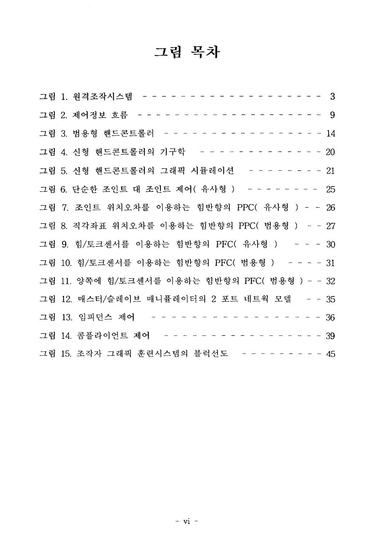# 그림 목차

| 그림 1. 원격조작시스템 - - - - - - - - - - - - - - - - - 3   |
|-----------------------------------------------------|
|                                                     |
| 그림 3. 범용형 핸드콘트롤러 - - - - - - - - - - - - - - - - 14 |
| 그림 4. 신형 핸드콘트롤러의 기구학 - - - - - - - - - - - - 20     |
| 그림 5. 신형 핸드콘트롤러의 그래픽 시뮬레이션 -------21                |
| 그림 6. 단순한 조인트 대 조인트 제어(유사형) ------- 25              |
| 그림 7. 조인트 위치오차를 이용하는 힘반향의 PPC( 유사형 ) - - 26         |
| 그림 8. 직각좌표 위치오차를 이용하는 힘반향의 PPC( 범용형 ) - - 27        |
| 그림 9. 힘/토크센서를 이용하는 힘반향의 PFC( 유사형 ) - - - 30         |
| 그림 10. 힘/토크센서를 이용하는 힘반향의 PFC( 범용형 ) ---- 31         |
| 그림 11. 양쪽에 힘/토크센서를 이용하는 힘반향의 PFC( 범용형 ) - - 32      |
| 그림 12. 매스터/슬레이브 매니퓰레이터의 2 포트 네트웍 모델 - - 35          |
| 그림 13. 임피던스 제어 - - - - - - - - - - - - - - - - 36   |
| 그림 14. 콤플라이언트 제어 - - - - - - - - - - - - - - - - 39 |
| 그림 15. 조작자 그래픽 훈련시스템의 블럭선도 -------- 15              |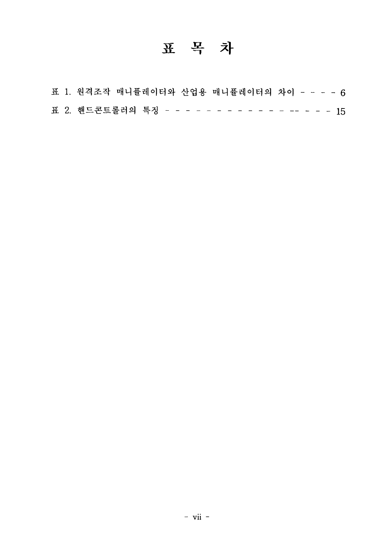# 표 목 차

|  | 표 1. 원격조작 매니퓰레이터와 산업용 매니퓰레이터의 차이 - - - - 6       |
|--|--------------------------------------------------|
|  | 표 2. 핸드콘트롤러의 특징 - - - - - - - - - - - - - - - 15 |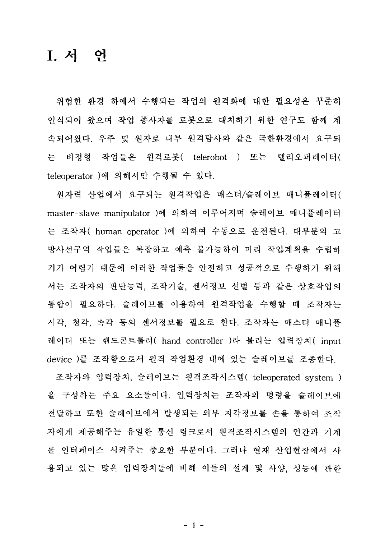### I. 서 어

위험한 환경 하에서 수행되는 작업의 원격화에 대한 필요성은 꾸준히 인식되어 왔으며 작업 종사자를 로봇으로 대치하기 위한 연구도 함께 계 속되어왔다. 우주 및 원자로 내부 원격탐사와 같은 극한환경에서 요구되 는 비정형 작업들은 워격로봇( telerobot ) 또는 텔리오퍼레이터( teleoperator )에 의해서만 수행될 수 있다.

원자력 산업에서 요구되는 원격작업은 매스터/슬레이브 매니퓰레이터( master-slave manipulator )에 의하여 이루어지며 슬레이브 매니퓰레이터 는 조작자( human operator )에 의하여 수동으로 운전된다. 대부분의 고 방사선구역 작업들은 복잡하고 예측 불가능하여 미리 작업계획을 수립하 기가 어렵기 때문에 이러한 작업들을 안전하고 성공적으로 수행하기 위해 서는 조작자의 판단능력. 조작기술, 센서정보 선별 등과 같은 상호작업의 통합이 필요하다. 슬레이브를 이용하여 원격작업을 수행할 때 조작자는 시각, 청각, 촉각 등의 센서정보를 필요로 한다. 조작자는 매스터 매니퓰 레이터 또는 핸드콘트롤러( hand controller )라 불리는 입력장치( input device )를 조작함으로서 원격 작업환경 내에 있는 슬레이브를 조종하다.

조작자와 입력장치, 슬레이브는 원격조작시스템( teleoperated system ) 을 구성하는 주요 요소들이다. 입력장치는 조작자의 명령을 슬레이브에 전달하고 또한 슬레이브에서 발생되는 외부 지각정보를 손을 통하여 조작 자에게 제공해주는 유일한 통신 링크로서 원격조작시스템의 인간과 기계 를 인터페이스 시켜주는 중요한 부분이다. 그러나 현재 산업현장에서 사 용되고 있는 많은 입력장치들에 비해 이들의 설계 및 사양, 성능에 관한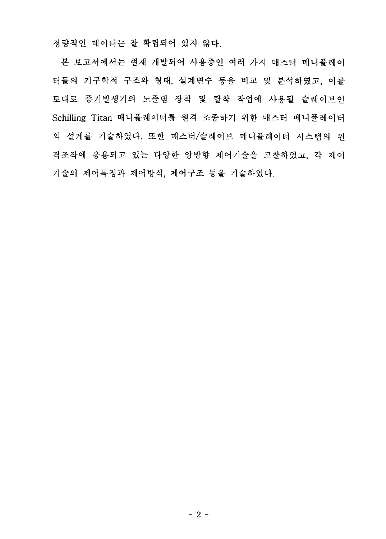정량적인 데이터는 잘 확립되어 있지 않다.

본 보고서에서는 현재 개발되어 사용중인 여러 가지 매스터 메니퓰레이 터들의 기구학적 구조와 형태, 설계변수 등을 비교 및 분석하였고, 이를 토대로 증기발생기의 노즐댐 장착 및 탈착 작업에 사용될 슬레이브인 Schilling Titan 매니퓰레이터를 원격 조종하기 위한 매스터 메니퓰레이터 의 설계를 기술하였다. 또한 매스터/슬레이브 메니퓰레이터 시스템의 원 격조작에 응용되고 있는 다양한 양방향 제어기술을 고찰하였고, 각 제어 기술의 제어특징과 제어방식, 제어구조 등을 기술하였다.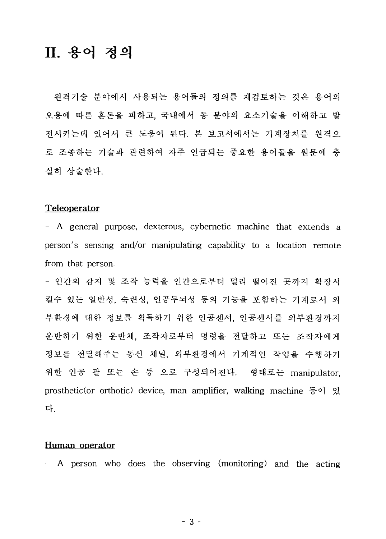## II. 용어 정의

원격기술 분야에서 사용되는 용어들의 정의를 재검토하는 것은 용어의 오용에 따른 혼돈을 피하고, 국내에서 동 분야의 요소기술을 이해하고 발 전시키는데 있어서 큰 도움이 된다. 본 보고서에서는 기계장치를 원격으 로 조종하는 기술과 관련하여 자주 언급되는 중요한 용어들을 원문에 충 실히 상술한다.

#### Teleoperator

- A general purpose, dexterous, cybernetic machine that extends a person's sensing and/or manipulating capability to a location remote from that person.

- 인간의 감지 및 조작 능력을 인간으로부터 멀리 떨어진 곳까지 확장시 킬수 있는 일반성, 숙련성, 인공두뇌성 등의 기능을 포함하는 기계로서 외 부환경에 대한 정보를 획득하기 위한 인공센서, 인공센서를 외부화경까지 운반하기 위한 운반체. 조작자로부터 명령을 전달하고 또는 조작자에게 정보를 전달해주는 통신 채널, 외부환경에서 기계적인 작업을 수행하기 위한 인공 팔 또는 손 등 으로 구성되어진다. 형태로는 manipulator, prosthetic(or orthotic) device, man amplifier, walking machine  $\frac{1}{5}$  of 2 다.

#### Human operator

- A person who does the observing (monitoring) and the acting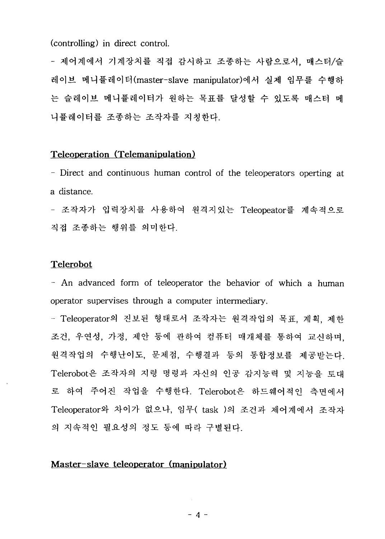(controlling) in direct control.

- 제어계에서 기계장치를 직접 감시하고 조종하는 사람으로서, 매스터/슬 레이브 메니퓰레이터(master-slave manipulator)에서 실제 임무를 수행하 는 슬레이브 메니퓰레이터가 원하는 목표를 달성할 수 있도록 매스터 메 니퓰레이터를 조종하는 조작자를 지칭하다.

### **Teleoperation (Telemanipulation**)

- Direct and continuous human control of the teleoperators operting at a distance.

- 조작자가 입력장치를 사용하여 원격지있는 Teleopeator를 계속적으로 직접 조종하는 행위를 의미한다.

### **Telerobot**

- An advanced form of teleoperator the behavior of which a human operator supervises through a computer intermediary.

- Teleoperator의 진보된 형태로서 조작자는 원격작업의 목표, 계획, 제한 조건, 우연성, 가정, 제안 등에 관하여 컴퓨터 매개체를 통하여 교신하며. 원격작업의 수행난이도, 문제점, 수행결과 등의 통합정보를 제공받는다. Telerobot은 조작자의 지령 명령과 자신의 인공 감지능력 및 지능을 토대 로 하여 주어진 작업을 수행한다. Telerobot은 하드웨어적인 측면에서 Teleoperator와 차이가 없으나, 임무( task )의 조 의 지속적인 필요성의 정도 등에 따라 구별된다.

### **Master-slave teleoperator (manipulator)**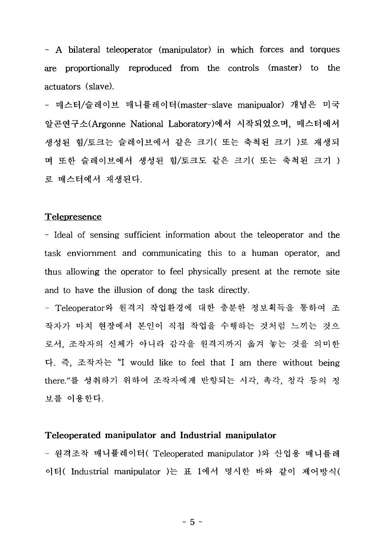- A bilateral teleoperator (manipulator) in which forces and torques are proportionally reproduced from the controls (master) to the actuators (slave).

- 매스터/슬레이브 매니퓰레이터(master-slave manipualor) 개념은 미국 알곤연구소(Argonne National Laboratory)에서 시작되었으며, 매스터에서 생성된 힘/토크는 슬레이브에서 같은 크기( 또는 축척된 크기 )로 재생되 며 또한 슬레이브에서 생성된 힘/토크도 같은 크기( 또는 축척된 크기 ) 로 매스터에서 재생된다.

#### **Telepresence**

- Ideal of sensing sufficient information about the teleoperator and the task enviornment and communicating this to a human operator, and thus allowing the operator to feel physically present at the remote site and to have the illusion of dong the task directly.

- Teleoperator와 원격지 작업환경에 대한 충분한 정보획득을 통하여 조 작자가 마치 현장에서 본인이 직접 작업을 수행하는 것처럼 느끼는 것으 로서, 조작자의 신체가 아니라 감각을 원격지까지 옮겨 놓는 것을 의미한 다. 즉, 조작자는 "I would like to feel that I am there without being there."를 성취하기 위하여 조작자에게 반향되는 시각, 촉각, 청각 등의 정 보를 이용한다.

#### **Teleoperated manipulator and Industrial manipulator**

- 원격조작 매니퓰레이터( Teleoperated manipulator )와 산업용 매니퓰레 Industrial manipulator )는 표 1에서 명시한 <mark>바와</mark>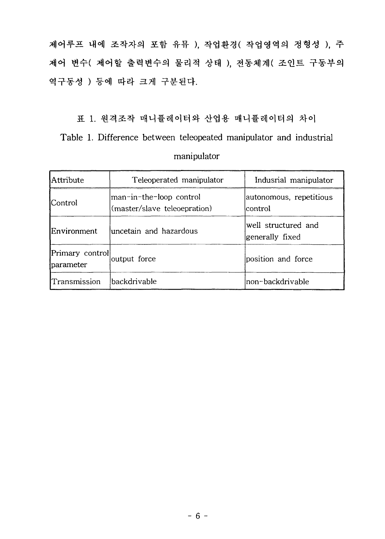제어루프 내에 조작자의 포함 유뮤 ), 작업환경(작업영역의 정형성 ), 주 제어 변수(제어할 출력변수의 물리적 상태), 전동체계(조인트 구동부의 역구동성) 등에 따라 크게 구분된다.

표 1. 원격조작 매니퓰레이터와 산업용 매니퓰레이터의 차이 Table 1. Difference between teleopeated manipulator and industrial manipulator

| Attribute                     | Teleoperated manipulator                                | Indusrial manipulator                  |
|-------------------------------|---------------------------------------------------------|----------------------------------------|
| lControl                      | man-in-the-loop control<br>(master/slave teleoepration) | autonomous, repetitious<br>lcontrol    |
| Environment                   | luncetain and hazardous                                 | well structured and<br>generally fixed |
| Primary control<br> parameter | output force                                            | position and force                     |
| Transmission                  | <i>hackdrivable</i>                                     | non-backdrivable                       |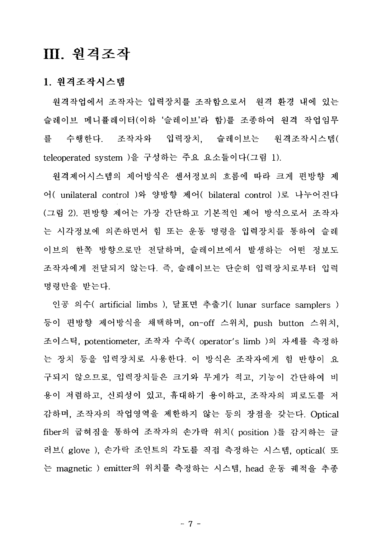### **Ill**

### **1.**

원격작업에서 조작자는 입력장치를 조작함으로서 원격 환경 내에 있는 슬레이브 메니퓰레이터(이하 '슬레이브'라 함)를 조종하여 원격 작업임무 수행한다. 조작자와 입력장치, 슬레이브는 원격조작시스템( 름 teleoperated system )을 구성하는 주요 요소들이다(그림 1).

원격제어시스템의 제어방식은 센서정보의 흐름에 따라 크게 편방향 제 unilateral control )와 양방향 <mark>제어( bilateral contro</mark>l (그림 2). 편방향 제어는 가장 간단하고 기본적인 제어 방식으로서 조작자 는 시각정보에 의존하면서 힘 또는 운동 명령을 입력장치를 통하여 슬레 이브의 한쪽 방향으로만 전달하며, 슬레이브에서 발생하는 어떤 정보도 조작자에게 전달되지 않는다. 즉, 슬레이브는 단순히 입력장치로부터 입력 명령만을 받는다.

artificial limbs ), 달표면 추출기( lunar surface samplers ) 등이 편방향 제어방식을 채택하며, on-off 스위치, push button 스위치, 스틱, potentiometer, 조작자 수족( operator's limb )의 자세를 측정<mark>히</mark> 는 장치 등을 입력장치로 사용한다. 이 방식은 조작자에게 힘 반향이 요 구되지 않으므로, 입력장치들은 크기와 무게가 적고, 기능이 간단하여 비 용이 저렴하고, 신뢰성이 있고, 휴대하기 용이하고, 조작자의 피로도를 저 감하며, 조작자의 작업영역을 제한하지 않는 등의 장점을 갖는다. Optical fiber의 굽혀짐을 통하여 조작자의 손가락 위치( position )를 감지하는 글 러브( glove ), 손가락 조인트의 각도를 직접 측정하는 시스템, optical( 또 는 magnetic ) emitter의 위치를 측정하는 시스템, head 운동 궤적을 추종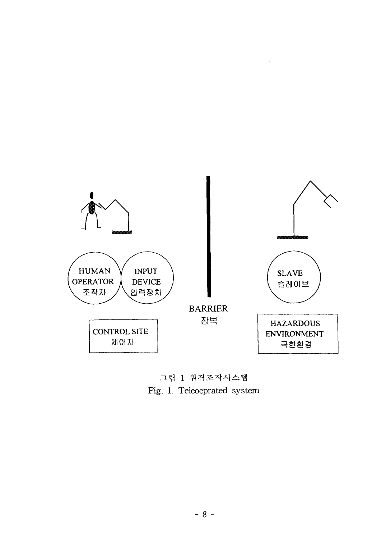

그림 1 원격조작시스템 Fig. 1. Teleoeprated system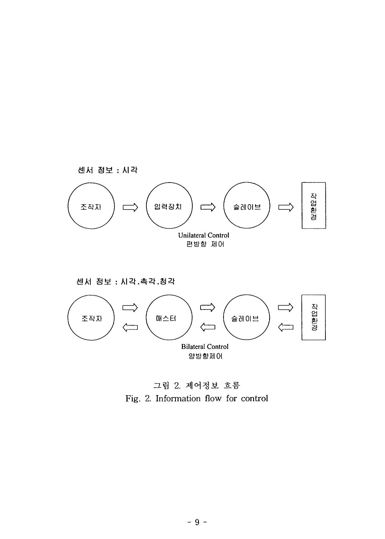

센서 정보 : 시각.촉각.청각



그림 2. 제어정보 흐름 Fig. 2. Information flow for control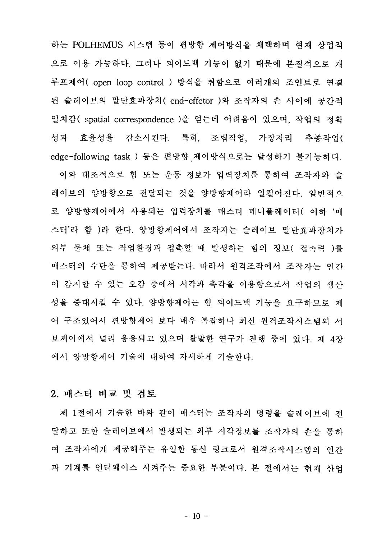하는 POLHEMUS 시스템 등이 편방향 제어방식을 채택하며 현재 상업적 으로 이용 가능하다. 그러나 피이드백 기능이 없기 때문에 본질적으로 개 루프제어( open loop control ) 방식을 취함으로 여러개의 조인트로 연결 된 슬레이브의 말단효과장치(end-effctor)와 조작자의 손 사이에 공간적 일치감( spatial correspondence )을 얻는데 어려움이 있으며, 작업의 정확 성과 효율성을 감소시킨다. 특히, 조립작업, 가장자리 추종작업( edge-following task ) 등은 편방향 제어방식으로는 달성하기 불가능하다.

이와 대조적으로 힘 또는 운동 정보가 입력장치를 통하여 조작자와 슬 레이브의 양방향으로 전달되는 것을 양방향제어라 일컬어진다. 일반적으 로 양방향제어에서 사용되는 입력장치를 매스터 메니퓰레이터( 이하'매 스터'라 함 )라 한다. 양방향제어에서 조작자는 슬레이브 말단효과장치가 외부 물체 또는 작업환경과 접촉할 때 발생하는 힘의 정보(접촉력 )를 매스터의 수단을 통하여 제공받는다. 따라서 원격조작에서 조작자는 인간 이 감지할 수 있는 오감 중에서 시각과 촉각을 이용함으로서 작업의 생산 성을 중대시킬 수 있다. 양방향제어는 힘 피이드백 기능을 요구하므로 제 어 구조있어서 편방향제어 보다 매우 복잡하나 최신 원격조작시스템의 서 보제어에서 널리 응용되고 있으며 활발한 연구가 진행 중에 있다. 제 4장 에서 양방향제어 기술에 대하여 자세하게 기술한다.

#### 2. 매스터 비교 및 검토

제 1절에서 기술한 바와 같이 매스터는 조작자의 명령을 슬레이브에 저 달하고 또한 슬레이브에서 발생되는 외부 지각정보를 조작자의 손을 통하 여 조작자에게 제공해주는 유일한 통신 링크로서 원격조작시스템의 인간 과 기계를 인터페이스 시켜주는 중요한 부분이다. 본 절에서는 현재 사업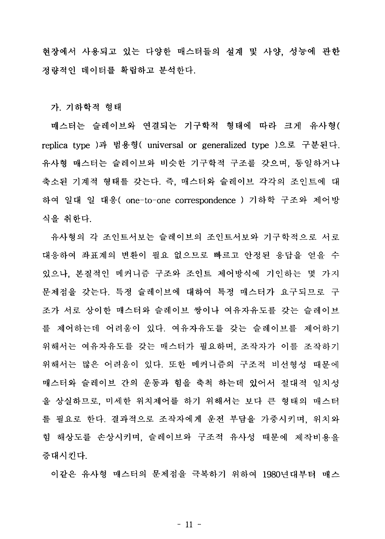현장에서 사용되고 있는 다양한 매스터들의 설계 및 사양, 성능에 관한 정량적인 데이터를 확립하고 분석한다.

가. 기하학적 형태

매스터는 슬레이브와 연결되는 기구학적 형태에 따라 크게 유사형( replica type )과 범용형( universal or generalized type )으로 구분된다. 유사형 매스터는 슬레이브와 비슷한 기구학적 구조를 갖으며, 동일하거나 축소된 기계적 형태를 갖는다. 즉, 매스터와 슬레이브 각각의 조인트에 대 하여 일대 일 대응( one-to-one correspondence ) 기하학 구조와 제어방 식을 취한다.

유사형의 각 조인트서보는 슬레이브의 조인트서보와 기구학적으로 서로 대응하여 좌표계의 변환이 필요 없으므로 빠르고 안정된 응답을 얻을 수 있으나, 본질적인 메커니즘 구조와 조인트 제어방식에 기인하는 몇 가지 문제점을 갖는다. 특정 슬레이브에 대하여 특정 매스터가 요구되므로 구 조가 서로 상이한 매스터와 슬레이브 쌍이나 여유자유도를 갖는 슬레이브 를 제어하는데 어려움이 있다. 여유자유도를 갖는 슬레이브를 제어하기 위해서는 여유자유도를 갖는 매스터가 필요하며, 조작자가 이를 조작하기 위해서는 많은 어려움이 있다. 또한 메커니즘의 구조적 비선형성 때문에 매스터와 슬레이브 간의 운동과 힘을 축척 하는데 있어서 절대적 일치성 을 상실하므로, 미세한 위치제어를 하기 위해서는 보다 큰 형태의 매스터 를 필요로 한다. 결과적으로 조작자에게 운전 부담을 가중시키며, 위치와 힘 해상도를 손상시키며, 슬레이브와 구조적 유사성 때문에 제작비용을 증대시킨다.

이같은 유사형 매스터의 문제점을 극복하기 위하여 1980년대부터 매스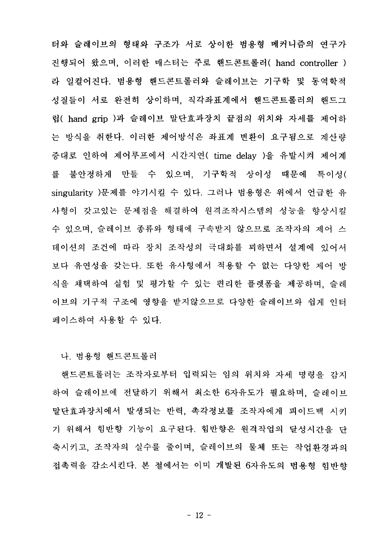터와 슬레이브의 형태와 구조가 서로 상이한 범용형 메커니즘의 연구가 진행되어 왔으며, 이러한 매스터는 주로 핸드콘트롤러( hand controller ) 라 일컬어진다. 범용형 핸드콘트롤러와 슬레이브는 기구학 및 동역학적 성질들이 서로 완전히 상이하며, 직각좌표계에서 핸드콘트롤러의 핸드그 립( hand grip )과 슬레이브 말단효과장치 끝점의 위치와 자세를 제어하 는 방식을 취한다. 이러한 제어방식은 좌표계 변환이 요구됨으로 계산량 증대로 인하여 제어루프에서 시간지연( time delay )을 유발시켜 제어계 불안정하게 만들 수 있으며, 기구학적 상이성 때문에 특이성( 롴 singularity )문제를 야기시킬 수 있다. 그러나 범용형은 위에서 언급한 유 사형이 갖고있는 문제점을 해결하여 원격조작시스템의 성능을 향상시킬 수 있으며, 슬레이브 종류와 형태에 구속받지 않으므로 조작자의 제어 스 테이션의 조건에 따라 장치 조작성의 극대화를 꾀하면서 설계에 있어서 보다 유연성을 갖는다. 또한 유사형에서 적용할 수 없는 다양한 제어 방 식을 채택하여 실험 및 평가할 수 있는 편리한 플렛폼을 제공하며, 슬레 이브의 기구적 구조에 영향을 받지않으므로 다양한 슬레이브와 쉽게 인터 페이스하여 사용할 수 있다.

나. 범용형 핸드콘트롤러

핸드콘트롤러는 조작자로부터 입력되는 임의 위치와 자세 명령을 감지 하여 슬레이브에 전달하기 위해서 최소한 6자유도가 필요하며, 슬레이브 말단효과장치에서 발생되는 반력, 촉각정보를 조작자에게 피이드백 시키 기 위해서 힘반향 기능이 요구된다. 힘반향은 원격작업의 달성시간을 단 축시키고, 조작자의 실수를 줄이며, 슬레이브의 물체 또는 작업화경과의 접촉력을 감소시킨다. 본 절에서는 이미 개발된 6자유도의 범용형 힘반향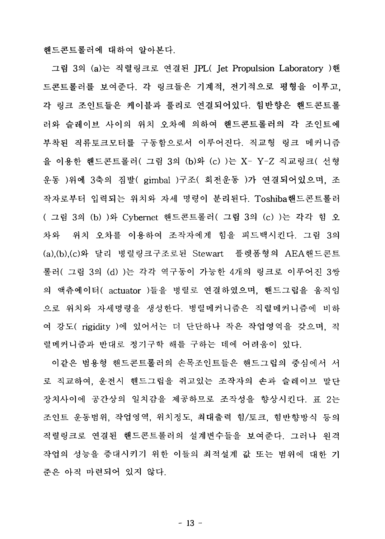해드콘트롤러에 대하여 알아본다.

그림 3의 (a)는 직렬링크로 연결된 JPL( Jet Propulsion Laboratory )핸 드콘트롬러를 보여준다. 각 링크들은 기계적, 전기적으로 평형을 이루고. 각 링크 조인트들은 케이블과 풀리로 연결되어있다. 힘반향은 핸드콘트롤 러와 슬레이브 사이의 위치 오차에 의하여 핸드콘트롤러의 각 조인트에 부착된 직류토크모터를 구동함으로서 이루어진다. 직교형 링크 메커니즘 을 이용한 해드콘트롤러( 그림 3의 (b)와 (c) )는 X- Y-Z 직교링크( 서형 운동 )위에 3축의 짐발( gimbal )구조( 회전운동 )가 연결되어있으며, 조 작자로부터 입력되는 위치와 자세 명령이 분리된다. Toshiba핸드콘트롤러 ( 그림 3의 (b) )와 Cvbernet 핸드콘트롤러( 그림 3의 (c) )는 각각 힘 오 위치 오차를 이용하여 조작자에게 힘을 피드백시킨다. 그림 3의 차와 (a).(b).(c)와 달리 병렬링크구조로된 Stewart 플렛폼형의 AEA핸드콘트 롤러( 그림 3의 (d) )는 각각 역구동이 가능한 4개의 링크로 이루어진 3쌍 의 액츄에이터( actuator )들을 병렬로 연결하였으며, 핸드그립을 움직임 으로 위치와 자세명령을 생성한다. 병렬메커니즘은 직렬메커니즘에 비하 여 강도( rigidity )에 있어서는 더 단단하나 작은 작업영역을 갖으며, 직 렬메커니즘과 반대로 정기구학 해를 구하는 데에 어려움이 있다.

이같은 범용형 핸드콘트롤러의 손목조인트들은 핸드그립의 중심에서 서 로 직교하여, 운전시 핸드그립을 쥐고있는 조작자의 손과 슬레이브 말단 장치사이에 공간상의 일치감을 제공하므로 조작성을 향상시킨다. 표 2는 조인트 운동범위, 작업영역, 위치정도, 최대출력 힘/토크, 힘반향방식 등의 직렬링크로 연결된 핸드콘트롤러의 설계변수들을 보여주다. 그러나 워격 작업의 성능을 증대시키기 위한 이들의 최적설계 값 또는 범위에 대한 기 준은 아직 마련되어 있지 않다.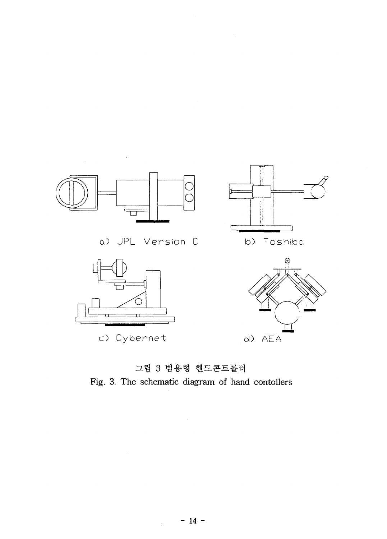

 $\sim 10^{-1}$ 

그림 3 범용형 핸드콘트롤러 Fig. 3. The schematic diagram of hand contollers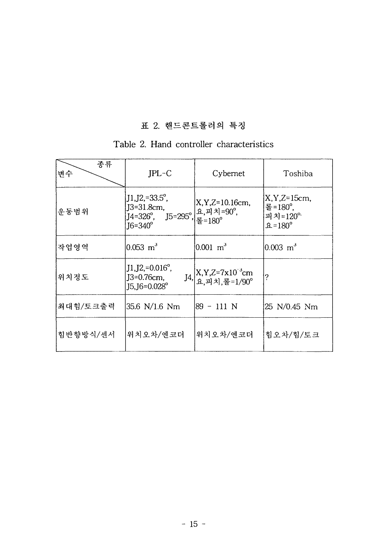### **2.**

### Table 2. Hand controller characteristics

| 종류<br>변수 | $JPL-C$                                                                                           | Cybernet                                                                      | Toshiba                                                                             |
|----------|---------------------------------------------------------------------------------------------------|-------------------------------------------------------------------------------|-------------------------------------------------------------------------------------|
| 운동범위     | $JI,J2,=33.5^{\circ}$ ,<br>$J3 = 31.8$ cm,<br>$J4=326^\circ$ , $J5=295^\circ$ ,<br>$J6=340^\circ$ | $X, Y, Z=10.16cm$ ,<br>요,피치=90°,<br> 롤=180°                                   | $X, Y, Z=15cm$<br>툴= $180^{\circ}$ ,<br>피치= $120^{\circ}$<br>$\Omega = 180^{\circ}$ |
| 작업영역     | $0.053 \, \text{m}^3$                                                                             | $0.001 \text{ m}^3$                                                           | $0.003 \text{ m}^3$                                                                 |
| 위치정도     | $J1, J2, =0.016^{\circ}$ ,<br>J3=0.76cm,<br>$J5$ , $J6 = 0.028$ °                                 | $JA,$ $X, Y, Z=7 \times 10^{-3}$ cm<br>$A, \mathbb{R}, \mathbb{H}$ 치, 롤=1/90° | ?                                                                                   |
| 최대힘/토크출력 | 35.6 N/1.6 Nm                                                                                     | 89 - 111 N                                                                    | 25 N/0.45 Nm                                                                        |
| 힘반향방식/센서 | 위치오차/엔코더                                                                                          | 위치오차/엔코더                                                                      | 힘오차/힘/토크                                                                            |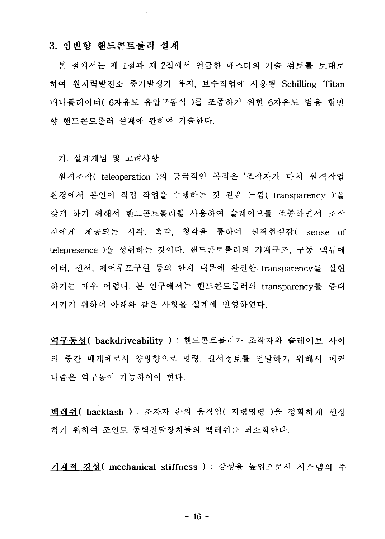### 3. 힘반향 핸드콘트롤러 설계

본 절에서는 제 1절과 제 2절에서 언급한 매스터의 기술 검토를 토대로 하여 원자력발전소 증기발생기 유지, 보수작업에 사용될 Schilling Titan 매니퓰레이터( 6자유도 유압구동식 )를 조종하기 위한 6자유도 범용 힘반 향 해드콘트롬러 설계에 과하여 기술한다.

가. 설계개념 및 고려사항

원격조작( teleoperation )의 궁극적인 목적은 '조작자가 마치 원격작업 환경에서 본인이 직접 작업을 수행하는 것 같은 느낌( transparency )'을 갖게 하기 위해서 해드콘트롬러를 사용하여 슬레이브를 조종하면서 조작 자에게 제공되는 시각, 촉각, 청각을 통하여 원격현실감( sense of telepresence )을 성취하는 것이다. 핸드콘트롤러의 기계구조, 구동 액튜에 이터, 센서, 제어루프구현 등의 한계 때문에 완전한 transparencv를 실현 하기는 매우 어렵다. 본 연구에서는 핸드콘트롤러의 transparency를 증대 시키기 위하여 아래와 같은 사항을 설계에 반영하였다.

역구동성( backdriveability ) : 핸드콘트롤러가 조작자와 슬레이브 사이 의 중간 매개체로서 양방향으로 명령. 센서정보를 전달하기 위해서 메커 니즘은 역구동이 가능하여야 한다.

백레쉬( backlash ) : 조자자 손의 움직임( 지령명령 )을 정확하게 센싱 하기 위하여 조인트 동력전달장치들의 백레쉬를 최소화한다.

기계적 강성( mechanical stiffness ) : 강성을 높임으로서 시스템의 주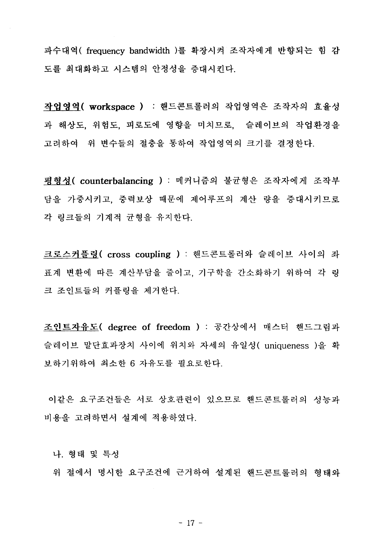파수대역( frequency bandwidth )를 확장시켜 조작자에게 반향되는 힘 감 도를 최대화하고 시스템의 안정성을 증대시킨다.

작업영역( workspace ) : 핸드콘트롤러의 작업영역은 조작자의 효율성 과 해상도, 위험도, 피로도에 영향을 미치므로, 슬레이브의 작업환경을 고려하여 위 변수들의 점충을 통하여 작업영역의 크기를 결정하다.

평형성( counterbalancing ) : 메커니즘의 불균형은 조작자에게 조작부 담을 가중시키고, 중력보상 때문에 제어루프의 계산 량을 증대시키므로 각 링크들의 기계적 규형을 유지한다.

크로스커플링 (cross coupling ) : 핸드콘트롤러와 슬레이브 사이의 좌 표계 변환에 따른 계산부담을 줄이고, 기구학을 간소화하기 위하여 각 링 크 조인트들의 커플링을 제거한다.

조인트자유도( degree of freedom ) : 공간상에서 매스터 핸드그림과 슬레이브 말단효과장치 사이에 위치와 자세의 유일성( uniqueness )을 확 보하기위하여 최소한 6 자유도를 필요로하다.

이같은 요구조건들은 서로 상호관련이 있으므로 핸드콘트롬러의 성능과 비용을 고려하면서 설계에 적용하였다.

나. 형태 및 특성

위 절에서 명시한 요구조건에 근거하여 설계된 해드콘트롤러의 형태와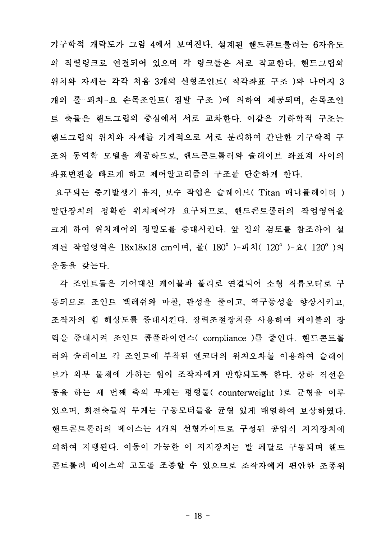기구학적 개략도가 그림 4에서 보여진다. 설계된 해드콘트롭러는 6자유도 의 직렬링크로 연결되어 있으며 각 링크들은 서로 직교한다. 핸드그립의 위치와 자세는 각각 처음 3개의 선형조인트( 직각좌표 구조 )와 나머지 3 개의 롬-피치-요 손목조인트( 짐발 구조 )에 의하여 제공되며, 손목조인 트 축들은 해드그립의 중심에서 서로 교차한다. 이같은 기하학적 구조는 해드그립의 위치와 자세를 기계적으로 서로 분리하여 간다한 기구학적 구 조와 동역학 모델을 제공하므로, 핸드콘트롤러와 슬레이브 좌표계 사이의 좌표변환을 빠르게 하고 제어알고리즘의 구조를 단순하게 한다.

요구되는 증기발생기 유지, 보수 작업은 슬레이브( Titan 매니퓰레이터 ) 말단장치의 정확한 위치제어가 요구되므로, 핸드콘트롤러의 작업영역을 크게 하여 위치제어의 정밀도를 증대시킨다. 앞 절의 검토를 참조하여 설 계된 작업영역은 18x18x18 cm이며, 롤( 180°)-피치( 120°)-요( 120°)의 운동을 갖는다.

각 조인트들은 기어대신 케이블과 풀리로 연결되어 소형 직류모터로 구 동되므로 조인트 백레쉬와 마찰, 관성을 줄이고, 역구동성을 향상시키고. 조작자의 힘 해상도를 증대시킨다. 장력조절장치를 사용하여 케이블의 장 력을 중대시켜 조인트 콤플라이언스( compliance )를 줄인다. 핸드콘트롤 러와 슬레이브 각 조인트에 부착된 엔코더의 위치오차를 이용하여 슬레이 브가 외부 물체에 가하는 힘이 조작자에게 반향되도록 한다. 상하 직선우 동을 하는 세 번째 축의 무게는 평형물( counterweight )로 균형을 이루 었으며, 회전축들의 무게는 구동모터들을 균형 있게 배열하여 보상하였다. 핸드콘트롤러의 베이스는 4개의 선형가이드로 구성된 공압식 지지장치에 의하여 지탱된다. 이동이 가능한 이 지지장치는 발 페달로 구동되며 해드 콘트롤러 베이스의 고도를 조종할 수 있으므로 조작자에게 편안한 조종위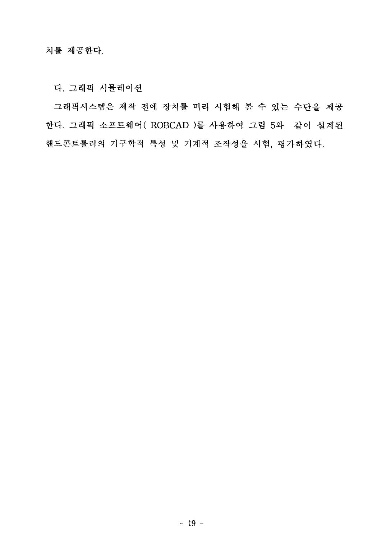다. 그래픽 시뮬레이션

그래픽시스템은 제작 전에 장치를 미리 시험해 볼 수 있는 수단을 제공 한다. 그래픽 소프트웨어(ROBCAD)를 사용하여 그림 5와 같이 설계된 핸드콘트롤러의 기구학적 특성 및 기계적 조작성을 시험, 평가하였다.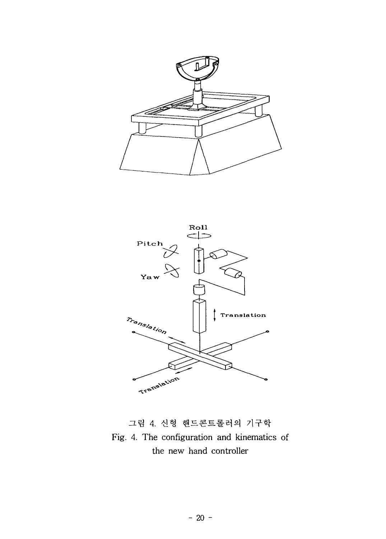



그림 4. 신형 핸드콘트롤러의 기구학 Fig. 4. The configuration and kinematics of the new hand controller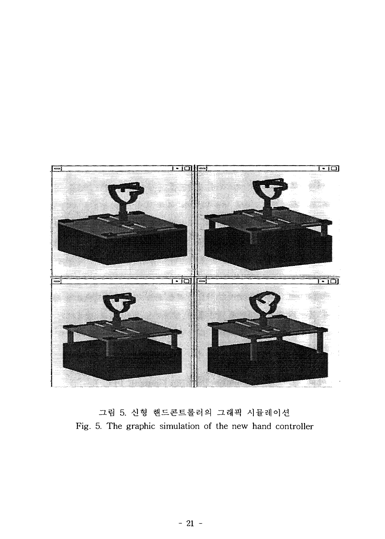

그림 5. 신형 핸드콘트롤러의 그래픽 시뮬레이션 Fig. 5. The graphic simulation of the new hand controller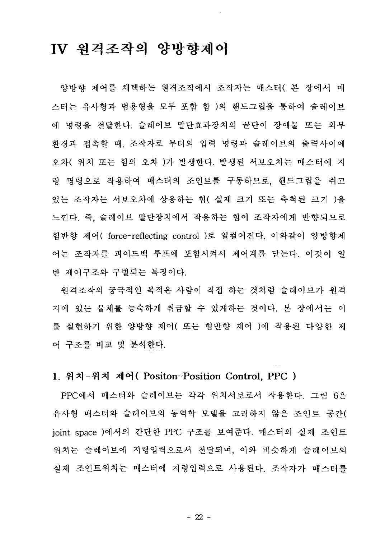### IV 워격조작의 양방향제어

양방향 제어를 채택하는 원격조작에서 조작자는 매스터( 본 장에서 매 스터는 유사형과 범용형을 모두 포함 함 )의 핸드그립을 통하여 슬레이브 에 명령을 전달한다. 슬레이브 말단효과장치의 끝단이 장애물 또는 외부 환경과 접촉할 때, 조작자로 부터의 입력 명령과 슬레이브의 출력사이에 오차( 위치 또는 힘의 오차 )가 발생한다. 발생된 서보오차는 매스터에 지 령 명령으로 작용하여 매스터의 조인트를 구동하므로, 핸드그립을 쥐고 있는 조작자는 서보오차에 상응하는 힘( 실제 크기 또는 축척된 크기 )을 느낀다. 즉. 슬레이브 말단장치에서 작용하는 힘이 조작자에게 반향되므로 힘반향 제어( force-reflecting control )로 일컬어진다. 이와같이 양방향제 어는 조작자를 피이드백 루프에 포함시켜서 제어계를 닫는다. 이것이 일 반 제어구조와 구별되는 특징이다.

 $\mathcal{A}$ 

워격조작의 궁극적인 목적은 사람이 직접 하는 것처럼 슬레이브가 워격 지에 있는 물체를 능숙하게 취급할 수 있게하는 것이다. 본 장에서는 이 를 실현하기 위한 양방향 제어( 또는 힘반향 제어 )에 적용된 다양한 제 어 구조를 비교 및 분석한다.

### 1. 위치-위치 제어(Positon-Position Control, PPC)

PPC에서 매스터와 슬레이브는 각각 위치서보로서 작용한다. 그림 6은 유사형 매스터와 슬레이브의 동역학 모델을 고려하지 않은 조인트 공간( joint space )에서의 간단한 PPC 구조를 보여준다. 매스터의 실제 조인트 위치는 슬레이브에 지령입력으로서 전달되며, 이와 비슷하게 슬레이브의 심제 조인트위치는 매스터에 지령입력으로 사용된다. 조작자가 매스터를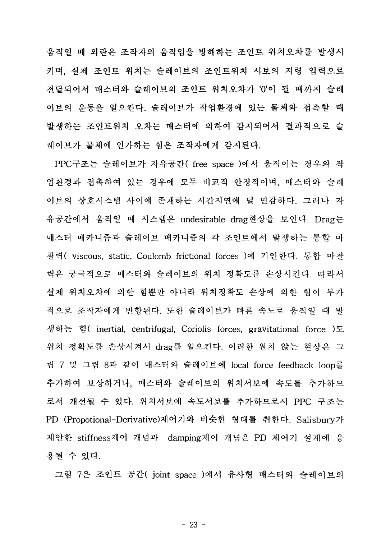움직일 때 외란은 조작자의 움직임을 방해하는 조인트 위치오차를 발생시 키며, 실제 조인트 위치는 슬레이브의 조인트위치 서보의 지령 입력으로 저달되어서 매스터와 슬레이브의 조인트 위치오차가 '0'이 될 때까지 슬레 이브의 운동을 일으킨다. 슬레이브가 작업환경에 있는 물체와 접촉할 때 발생하는 조인트위치 오차는 매스터에 의하여 감지되어서 결과적으로 슬 레이브가 물체에 인가하는 힘은 조작자에게 감지된다.

PPC구조는 슬레이브가 자유공간(free space )에서 움직이는 경우와 작 업환경과 접촉하여 있는 경우에 모두 비교적 안정적이며, 매스터와 슬레 이브의 상호시스템 사이에 존재하는 시간지연에 덜 민감하다. 그러나 자 유공간에서 움직일 때 시스템은 undesirable drag현상을 보인다. Drag는 매스터 매카니즘과 슬레이브 메카니즘의 각 조인트에서 발생하는 통합 마 찰력( viscous, static, Coulomb frictional forces )에 기인한다. 통합 마찰 력은 궁극적으로 매스터와 슬레이브의 위치 정확도를 손상시킨다. 따라서 실제 위치오차에 의한 힘뿐만 아니라 위치정확도 손상에 의한 힘이 부가 적으로 조작자에게 반향된다. 또한 슬레이브가 빠른 속도로 움직일 때 발 생하는 힘( inertial, centrifugal, Coriolis forces, gravitational force )도 drag를 일으킨다. 이러한 원치 않는 현상은 <mark>그</mark> 림 7 및 그림 8과 같이 매스터와 슬레이브에 local force feedback loop를 추가하여 보상하거나, 매스터와 슬레이브의 위치서보에 속도를 추가하므 로서 개선될 수 있다. 위치서보에 속도서보를 추가하므로서 PPC 구조는 PD (Propotional-Derivative)제어기와 비슷한 형태를 취한다. Salisbury가 제안한 stiffness제어 개념과 damping제어 개념은 PD 제어기 설계에 응 용될 수 있다.

그림 7은 조인트 공간 (joint space )에서 유사형 매스터와 슬레이브의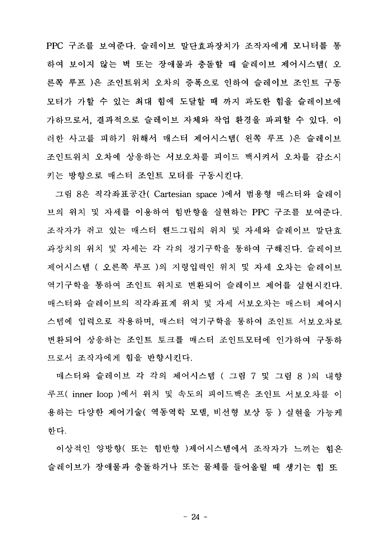PPC 구조를 보여준다. 슬레이브 말단효과장치가 조작자에게 모니터를 통 하여 보이지 않는 벽 또는 장애물과 충돌할 때 슬레이브 제어시스템( 오 른쪽 루프 )은 조인트위치 오차의 증폭으로 인하여 슬레이브 조인트 구동 모터가 가할 수 있는 최대 힘에 도달할 때 까지 과도한 힘을 슬레이브에 가하므로서. 결과적으로 슬레이브 자체와 작업 환경을 파괴할 수 있다. 이 러한 사고를 피하기 위해서 매스터 제어시스템( 왼쪽 루프 )은 슬레이브 조인트위치 오차에 상응하는 서보오차를 피이드 백시켜서 오차를 감소시 키는 방향으로 매스터 조인트 모터를 구동시킨다.

그림 8은 직각좌표공간( Cartesian space )에서 범용형 매스터와 슬레이 브의 위치 및 자세를 이용하여 힘반향을 실현하는 PPC 구조를 보여준다. 조작자가 쥐고 있는 매스터 핸드그립의 위치 및 자세와 슬레이브 말단효 과장치의 위치 및 자세는 각 각의 정기구학을 통하여 구해진다. 슬레이브 제어시스템 ( 오른쪽 루프 )의 지령입력인 위치 및 자세 오차는 슬레이브 역기구학을 통하여 조인트 위치로 변환되어 슬레이브 제어를 실현시키다. 매스터와 슬레이브의 직각좌표계 위치 및 자세 서보오차는 매스터 제어시 스템에 입력으로 작용하며, 매스터 역기구학을 통하여 조인트 서보오차로 변화되어 상응하는 조인트 토크를 매스터 조인트모터에 인가하여 구동하 므로서 조작자에게 힘을 반향시킨다.

매스터와 슬레이브 각 각의 제어시스템 ( 그림 7 및 그림 8 )의 내향 루프( inner loop )에서 위치 및 속도의 피이드백은 조인트 서보오차를 이 용하는 다양한 제어기술( 역동역학 모델, 비선형 보상 등 ) 실현을 가능케 한다.

이상적인 양방향( 또는 힘반향 )제어시스템에서 조작자가 느끼는 힘은 슬레이브가 장애물과 충돌하거나 또는 물체를 들어올릴 때 생기는 힘 또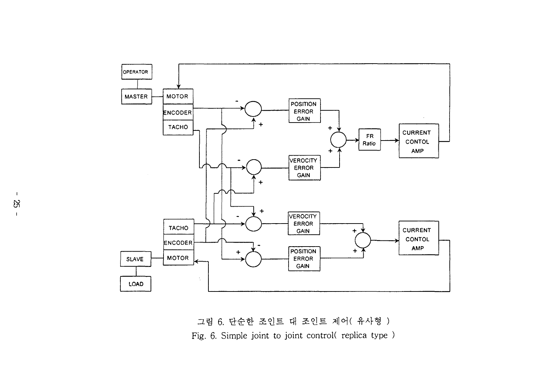

그림 6. 단순한 조인트 대 조인트 제어(유사형) Fig. 6. Simple joint to joint control(replica type)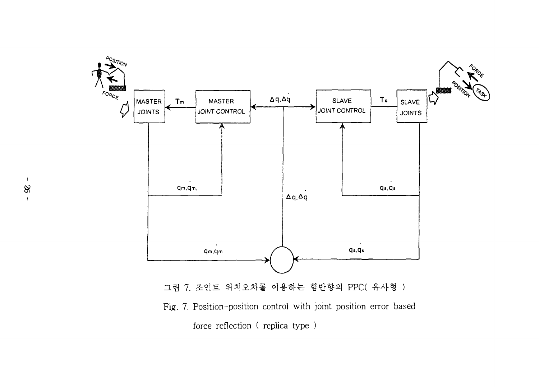

Fig. 7. Position-position control with joint position error based force reflection (replica type)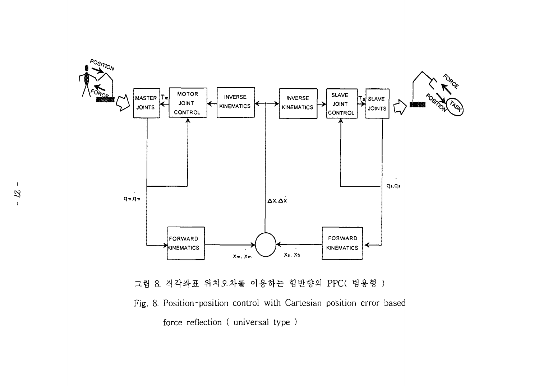

그림 8. 직각좌표 위치오차를 이용하는 힘반향의 PPC( 범용형 )

Fig. 8. Position-position control with Cartesian position error based force reflection (universal type)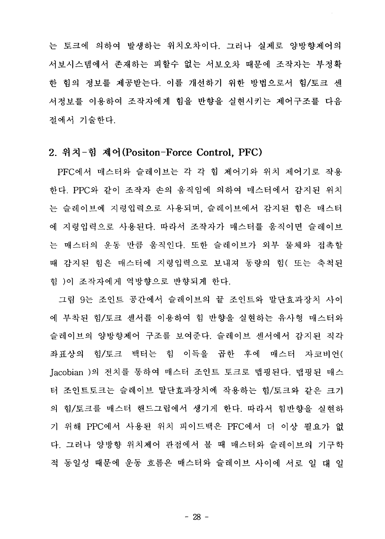는 토크에 의하여 발생하는 위치오차이다. 그러나 실제로 양방향제어의 서보시스템에서 존재하는 피할수 없는 서보오차 때문에 조작자는 부정확 한 힘의 정보를 제공받는다. 이를 개선하기 위한 방법으로서 힘/토크 세 서정보를 이용하여 조작자에게 힘을 반향을 실현시키는 제어구조를 다음 절에서 기술한다.

### 2. 위치-힘 제어(Positon-Force Control, PFC)

PFC에서 매스터와 슬레이브는 각 각 힘 제어기와 위치 제어기로 작용 한다. PPC와 같이 조작자 손의 움직임에 의하여 매스터에서 감지된 위치 는 슬레이브에 지령입력으로 사용되며, 슬레이브에서 감지된 힘은 매스터 에 지령입력으로 사용된다. 따라서 조작자가 매스터를 움직이면 슬레이브 는 매스터의 운동 만큼 움직인다. 또한 슬레이브가 외부 물체와 접촉할 때 감지된 힘은 매스터에 지령입력으로 보내져 동량의 힘( 또는 축척된 힘 )이 조작자에게 역방향으로 반향되게 한다.

그림 9는 조인트 공간에서 슬레이브의 끝 조인트와 말단효과장치 사이 에 부착된 힘/토크 센서를 이용하여 힘 반향을 실현하는 유사형 매스터와 슬레이브의 양방향제어 구조를 보여준다. 슬레이브 센서에서 감지된 직각 좌표상의 힘/토크 백터는 힘 이득을 곱한 후에 매스터 자코비언( Jacobian )의 전치를 통하여 매스터 조인트 토크로 맵핑된다. 맵핑된 매스 터 조인트토크는 슬레이브 말단효과장치에 작용하는 힘/토크와 같은 크기 의 힘/토크를 매스터 핸드그립에서 생기게 한다. 따라서 힘반향을 실현하 기 위해 PPC에서 사용된 위치 피이드백은 PFC에서 더 이상 필요가 없 다. 그러나 양방향 위치제어 관점에서 볼 때 매스터와 슬레이브의 기구학 적 동일성 때문에 운동 흐름은 매스터와 슬레이브 사이에 서로 일 대 일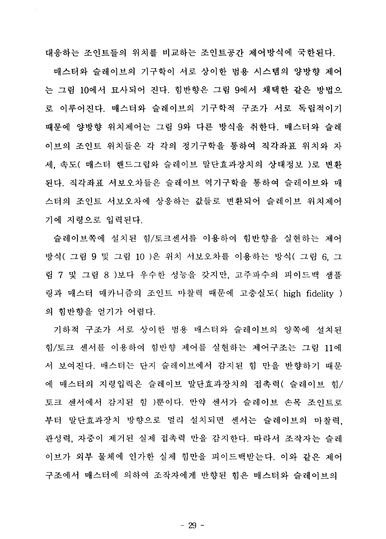대응하는 조인트들의 위치를 비교하는 조인트공가 제어방식에 국한된다. 매스터와 슬레이브의 기구학이 서로 상이한 범용 시스템의 양방향 제어 는 그림 10에서 묘사되어 진다. 힘반향은 그림 9에서 채택한 같은 방법으 로 이루어진다. 매스터와 슬레이브의 기구학적 구조가 서로 독립적이기 때문에 양방향 위치제어는 그림 9와 다른 방식을 취한다. 매스터와 슬레 이브의 조인트 위치들은 각 각의 정기구학을 통하여 직각좌표 위치와 자 세, 속도( 매스터 핸드그립와 슬레이브 말단효과장치의 상태정보 )로 변환 된다. 직각좌표 서보오차들은 슬레이브 역기구학을 통하여 슬레이브와 매 스터의 조인트 서보오차에 상응하는 값들로 변환되어 슬레이브 위치제어 기에 지령으로 입력된다.

 $\bar{z}$ 

슬레이브쪽에 설치된 힘/토크센서를 이용하여 힘반향을 실현하는 제어 방식( 그림 9 및 그림 10 )은 위치 서보오차를 이용하는 방식( 그림 6. 그 림 7 및 그림 8 )보다 우수한 성능을 갖지만, 고주파수의 피이드백 샘플 링과 매스터 매카니즘의 조인트 마찰력 때문에 고충실도( high fidelity ) 의 힘반향을 얻기가 어렵다.

기하적 구조가 서로 상이한 범용 매스터와 슬레이브의 양쪽에 설치된 힘/토크 센서를 이용하여 힘반향 제어를 실현하는 제어구조는 그림 11에 서 보여진다. 매스터는 단지 슬레이브에서 감지된 힘 만을 반향하기 때문 에 매스터의 지령입력은 슬레이브 말단효과장치의 접촉력( 슬레이브 힘/ 토크 센서에서 감지된 힘 )뿐이다. 만약 센서가 슬레이브 손목 조인트로 부터 말단효과장치 방향으로 멀리 설치되면 센서는 슬레이브의 마찰력. 관성력, 자중이 제거된 실제 접촉력 만을 감지한다. 따라서 조작자는 슬레 이브가 외부 물체에 인가한 실제 힘만을 피이드백받는다. 이와 같은 제어 구조에서 매스터에 의하여 조작자에게 반향된 힘은 매스터와 슬레이브의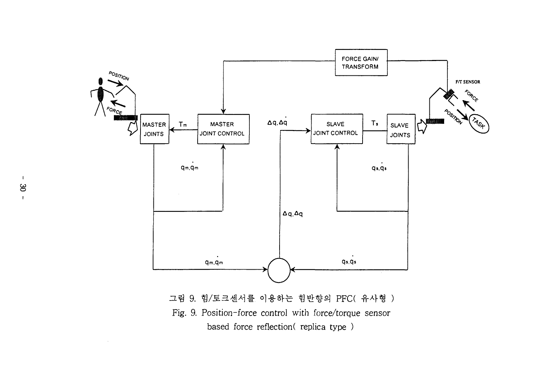

그림 9. 힘/토크센서를 이용하는 힘반향의 PFC( 유사형 ) Fig. 9. Position-force control with force/torque sensor based force reflection(replica type)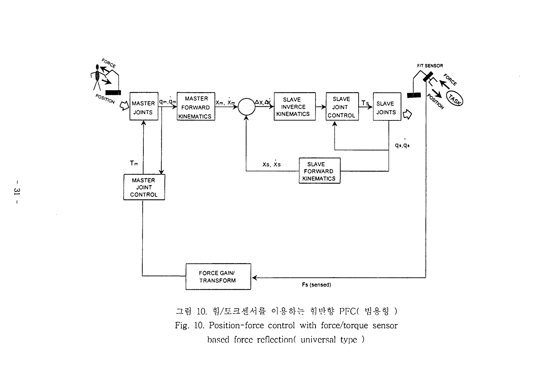

그림 10. 힘/토크센서를 이용하는 힘반향 PFC( 범용형) Fig. 10. Position-force control with force/torque sensor based force reflection( universal type)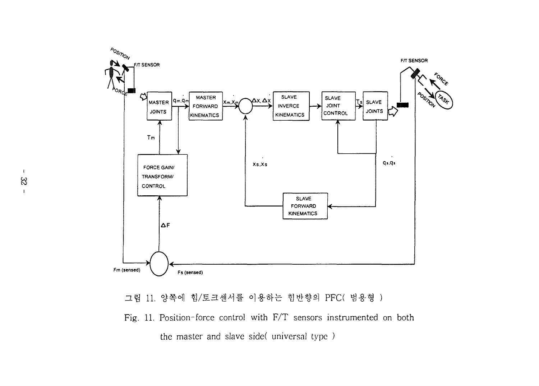

그림 11. 양쪽에 힘/토크센서를 이용하는 힘반향의 PFC( 범용형 )

Fig. 11. Position-force control with F/T sensors instrumented on both the master and slave side( universal type)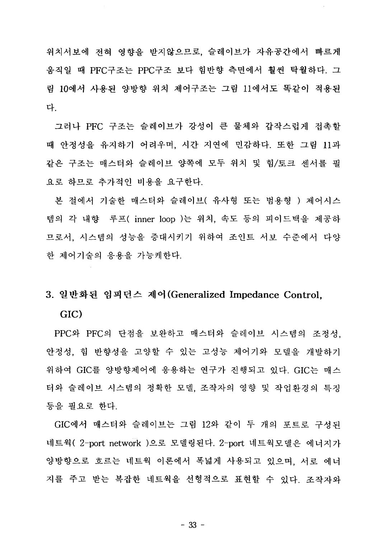위치서보에 전혀 영향을 받지않으므로, 슬레이브가 자유공간에서 빠르게 움직일 때 PFC구조는 PPC구조 보다 힘반향 측면에서 훨씬 탁월하다. 그 림 10에서 사용된 양방향 위치 제어구조는 그림 11에서도 똑같이 적용된 다

그러나 PFC 구조는 슬레이브가 강성이 큰 물체와 갑작스럽게 접촉할 때 안정성을 유지하기 어려우며, 시간 지연에 민감하다. 또한 그림 11과 같은 구조는 매스터와 슬레이브 양쪽에 모두 위치 및 힘/토크 세서를 필 요로 하므로 추가적인 비용을 요구한다.

본 절에서 기술한 매스터와 슬레이브( 유사형 또는 범용형 ) 제어시스 템의 각 내향 루프( inner loop )는 위치, 속도 등의 피이드백을 제공하 므로서, 시스템의 성능을 증대시키기 위하여 조인트 서보 수준에서 다양 한 제어기술의 응용을 가능케한다.

#### 3. 일반화된 임피던스 제어(Generalized Impedance Control,

#### GIC)

PPC와 PFC의 단점을 보완하고 매스터와 슬레이브 시스템의 조정성. 안정성, 힘 반향성을 고양할 수 있는 고성능 제어기와 모델을 개발하기 위하여 GIC를 양방향제어에 응용하는 연구가 진행되고 있다. GIC는 매스 터와 슬레이브 시스템의 정확한 모델, 조작자의 영향 및 작업환경의 특징 등을 필요로 한다.

GIC에서 매스터와 슬레이브는 그림 12와 같이 두 개의 포트로 구성된 네트웍( 2-port network )으로 모델링된다. 2-port 네트웍모델은 에너지가 양방향으로 흐르는 네트웍 이론에서 폭넓게 사용되고 있으며, 서로 에너 지를 주고 받는 복잡한 네트웍을 선형적으로 표현할 수 있다. 조작자와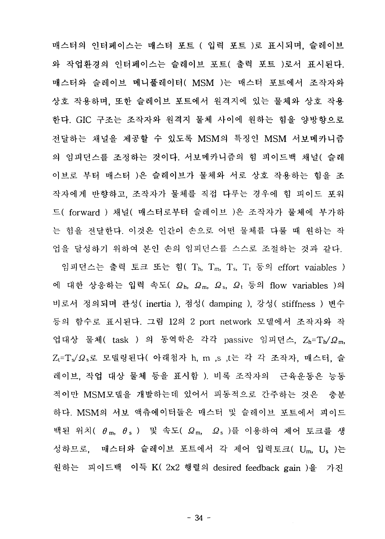매스터의 인터페이스는 매스터 포트 ( 입력 포트 )로 표시되며, 슬레이브 와 작업환경의 인터페이스는 슬레이브 포트( 출력 포트 )로서 표시된다. 매스터와 슬레이브 메니풀레이터( MSM )는 매스터 포트에서 조작자와 상호 작용하며, 또한 슬레이브 포트에서 원격지에 있는 물체와 상호 작용 한다. GIC 구조는 조작자와 원격지 물체 사이에 원하는 힘을 양방향으로 전달하는 채널을 제공할 수 있도록 MSM의 특징인 MSM 서보메카니즘 의 임피던스를 조정하는 것이다. 서보메카니즘의 힘 피이드백 채널( 슬레 이브로 부터 매스터 )은 슬레이브가 물체와 서로 상호 작용하는 힘을 조 작자에게 반향하고, 조작자가 물체를 직접 다루는 경우에 힘 피이드 포워 드( forward ) 채널( 매스터로부터 슬레이브 )은 조작자가 물체에 부가하 는 힘을 저달하다. 이것은 인간이 손으로 어떤 물체를 다룰 때 워하는 작 업을 달성하기 위하여 본인 손의 임피던스를 스스로 조절하는 것과 같다.

힘(  $T_h$ ,  $T_m$ ,  $T_s$ ,  $T_t$  등의 effort vaiables ) 대한 상응하는 입력 속도(  $\Omega$ <sub>h</sub>,  $\Omega$ <sub>m</sub>,  $\Omega$ <sub>s,</sub>  $\Omega$ <sub>t</sub> 등의 flow variables )의 inertia ), 점성( damping ), 강성( stiffness ) 변<mark>수</mark> 등의 함수로 표시된다. 그림 12의 2 port network 모델에서 조작자와 작 업대상 물체( task ) 의 동역학은 각각 passive 임피던스, Zh=Th/ $\Omega$ m,  $Z_t$ = $T_s/\Omega_s$ 로 모델링된다( 아래첨자 h, m ,s ,t는 각 각 조작자, 매스터, 슬 레이브, 작업 대상 물체 등을 표시함 ). 비록 조작자의 근육운동은 능동 적이만 MSM모델을 개발하는데 있어서 피동적으로 간주하는 것은 충분 하다. MSM의 서보 액츄에이터들은 매스터 및 슬레이브 포트에서 피이드 백된 위치(  $\theta$ m,  $\theta$ s ) 및 속도(  $\Omega$ m,  $\Omega$ s )를 이용하여 제어 토크를 생 성하므로, 매스터와 슬레이브 포트에서 각 제어 입력토크( Um, Us )는 원하는 피이드백 이득 K( 2x2 행렬의 desired feedback gain )을 가진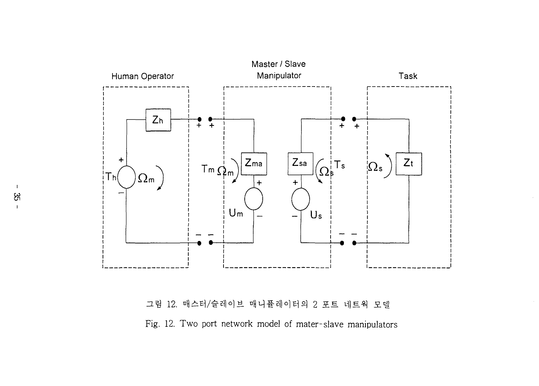

그림 12. 매스터/슬레이브 매니퓰레이터의 2 포트 네트웍 모델 Fig. 12. Two port network model of mater-slave manipulators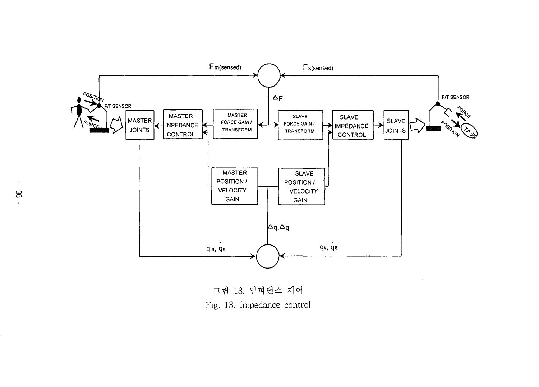

그림 13. 임피던스 제어 Fig. 13. Impedance control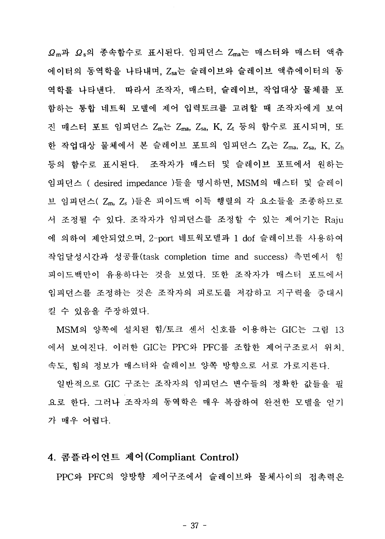Ωm과 Ωs의 종속함수로 표시된다. 임피던스 Ζma는 매스터와 매스터 액츄 에이터의 동역학을 나타내며, Zsa는 슬레이브와 슬레이브 액츄에이터의 동 역학를 나타낸다. 따라서 조작자, 매스터, 슬레이브, 작업대상 물체를 포 함하는 통합 네트웍 모델에 제어 입력토크를 고려할 때 조작자에게 보여 진 매스터 포트 임피던스 Zm는 Zma, Zsa, K, Z, 등의 함수로 표시되며, 또 한 작업대상 물체에서 본 슬레이브 포트의 임피던스 Z<sub>s</sub>는 Zma, Zsa, K, Zh 등의 함수로 표시된다. 조작자가 매스터 및 슬레이브 포트에서 원하는 임피던스 ( desired impedance )들을 명시하면, MSM의 매스터 및 슬레이 브 임피던스( Zm, Z。)들은 피이드백 이득 행렬의 각 요소들을 조종하므로 서 조정될 수 있다. 조작자가 임피던스를 조정할 수 있는 제어기는 Raju 에 의하여 제안되었으며, 2-port 네트웍모델과 1 dof 슬레이브를 사용하여 작업달성시간과 성공률(task completion time and success) 측면에서 힘 피이드백만이 유용하다는 것을 보였다. 또한 조작자가 매스터 포트에서 임피던스를 조정하는 것은 조작자의 피로도를 저감하고 지구력을 증대시 킬 수 있음을 주장하였다.

MSM의 양쪽에 설치된 힘/토크 센서 신호를 이용하는 GIC는 그림 13 에서 보여진다. 이러한 GIC는 PPC와 PFC를 조합한 제어구조로서 위치. 속도, 힘의 정보가 매스터와 슬레이브 양쪽 방향으로 서로 가로지른다.

일반적으로 GIC 구조는 조작자의 임피던스 변수들의 정확한 값들을 필 요로 한다. 그러나 조작자의 동역학은 매우 복잡하여 완전한 모델을 얻기 가 매우 어렵다.

#### 4. 콤플라이언트 제어(Compliant Control)

PPC와 PFC의 양방향 제어구조에서 슬레이브와 물체사이의 접촉력은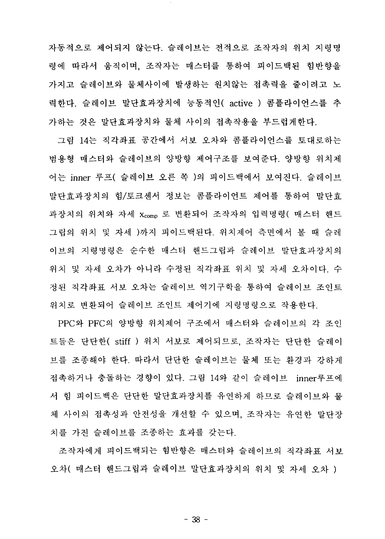자동적으로 제어되지 않는다. 슬레이브는 전적으로 조작자의 위치 지령명 령에 따라서 움직이며, 조작자는 매스터를 통하여 피이드백된 힘반향을 가지고 슬레이브와 물체사이에 발생하는 원치않는 접촉력을 줄이려고 노 력한다. 슬레이브 말단효과장치에 능동적인( active ) 콤플라이언스를 추 가하는 것은 말단효과장치와 물체 사이의 접촉작용을 부드럽게한다.

그림 14는 직각좌표 공간에서 서보 오차와 콤플라이언스를 토대로하는 범용형 매스터와 슬레이브의 양방향 제어구조를 보여준다. 양방향 위치제 어는 inner 루프( 슬레이브 오른 쪽 )의 피이드백에서 보여진다. 슬레이브 말단효과장치의 힘/토크센서 정보는 콤플라이언트 제어를 통하여 말단효 과장치의 위치와 자세 xcomp 로 변환되어 조작자의 입력명령( 매스터 핸드 그립의 위치 및 자세 )까지 피이드백된다. 위치제어 측면에서 볼 때 슬레 이브의 지령명령은 순수한 매스터 핸드그립과 슬레이브 말단효과장치의 위치 및 자세 오차가 아니라 수정된 직각좌표 위치 및 자세 오차이다. 수 정된 직각좌표 서보 오차는 슬레이브 역기구학을 통하여 슬레이브 조인트 위치로 변화되어 슬레이브 조인트 제어기에 지령명령으로 작용하다.

PPC와 PFC의 양방향 위치제어 구조에서 매스터와 슬레이브의 각 조인 트들은 단단한( stiff ) 위치 서보로 제어되므로, 조작자는 단단한 슬레이 브를 조종해야 한다. 따라서 단단한 슬레이브는 물체 또는 환경과 강하게 접촉하거나 충돌하는 경향이 있다. 그림 14와 같이 슬레이브 inner루프에 서 힘 피이드백은 단단한 말단효과장치를 유연하게 하므로 슬레이브와 물 체 사이의 접촉성과 안전성을 개선할 수 있으며, 조작자는 유연한 말단장 치를 가진 슬레이브를 조종하는 효과를 갖는다.

조작자에게 피이드백되는 힘반향은 매스터와 슬레이브의 직각좌표 서보 오차( 매스터 해드그립과 슬레이브 말단효과장치의 위치 및 자세 오차 )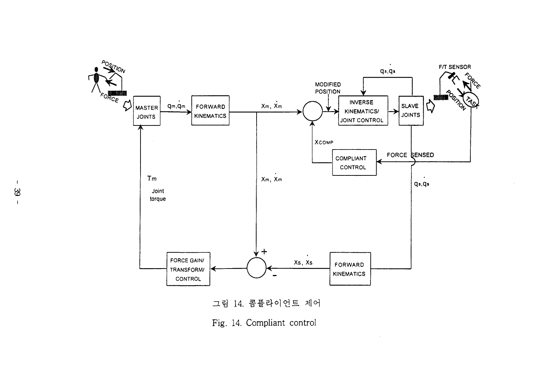

Fig. 14. Compliant control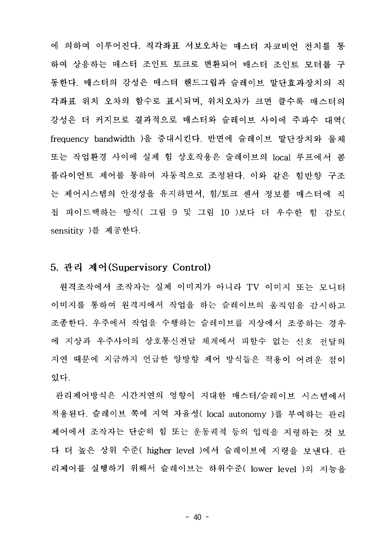에 의하여 이루어진다. 직각좌표 서보오차는 매스터 자코비언 전치를 통 하여 상응하는 매스터 조인트 토크로 변환되어 매스터 조인트 모터를 구 동한다. 매스터의 강성은 매스터 핸드그립과 슬레이브 말단효과장치의 직 각좌표 위치 오차의 함수로 표시되며, 위치오차가 크면 클수록 매스터의 강성은 더 커지므로 결과적으로 매스터와 슬레이브 사이에 주파수 대역( frequency bandwidth )을 증대시킨다. 반면에 슬레이브 말단장치와 물체 또는 작업환경 사이에 실제 힘 상호작용은 슬레이브의 local 루프에서 콤 플라이언트 제어를 통하여 자동적으로 조정된다. 이와 같은 힘반향 구조 는 제어시스템의 안정성을 유지하면서, 힘/토크 센서 정보를 매스터에 직 접 피이드백하는 방식( 그림 9 및 그림 10 )보다 더 우수한 힘 감도( sensitity )를 제공한다.

### 5. 관리 제어(Supervisory Control)

워격조작에서 조작자는 실제 이미지가 아니라 TV 이미지 또는 모니터 이미지를 통하여 워격지에서 작업을 하는 슬레이브의 움직임을 감시하고 조종한다. 우주에서 작업을 수행하는 슬레이브를 지상에서 조종하는 경우 에 지상과 우주사이의 상호통신전달 체계에서 피할수 없는 신호 전담의 지연 때문에 지금까지 언급한 양방향 제어 방식들은 적용이 어려운 점이 있다.

관리제어방식은 시간지연의 영향이 지대한 매스터/슬레이브 시스템에서 적용된다. 슬레이브 쪽에 지역 자율성( local autonomy )를 부여하는 관리 제어에서 조작자는 단순히 힘 또는 운동궤적 등의 입력을 지령하는 것 보 다 더 높은 상위 수준( higher level )에서 슬레이브에 지령을 보내다. 관 리제어를 실행하기 위해서 슬레이브는 하위수준( lower level )의 지능을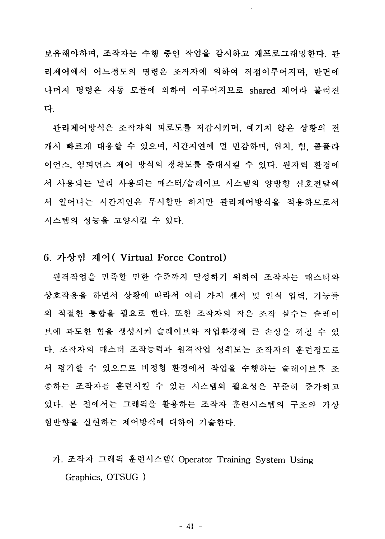보유해야하며, 조작자는 수행 중인 작업을 감시하고 재프로그래밍한다. 관 리제어에서 어느정도의 명령은 조작자에 의하여 직접이루어지며, 반면에 나머지 명령은 자동 모듈에 의하여 이루어지므로 shared 제어라 불러지 다.

관리제어방식은 조작자의 피로도를 저감시키며, 예기치 않은 상황의 저 개시 빠르게 대응할 수 있으며, 시간지연에 덜 민감하며, 위치, 힘, 콤플라 이언스, 임피던스 제어 방식의 정확도를 증대시킬 수 있다. 원자력 환경에 서 사용되는 널리 사용되는 매스터/슬레이브 시스템의 양방향 신호전달에 서 일어나는 시간지연은 무시할만 하지만 관리제어방식을 적용하므로서 시스템의 성능을 고양시킬 수 있다.

### 6. 가상힊 제어( Virtual Force Control)

원격작업을 만족할 만한 수준까지 달성하기 위하여 조작자는 매스터와 상호작용을 하면서 상황에 따라서 여러 가지 센서 및 인식 입력. 기능들 의 적절한 통합을 필요로 한다. 또한 조작자의 작은 조작 실수는 슬레이 브에 과도한 힘을 생성시켜 슬레이브와 작업환경에 큰 손상을 끼침 수 있 다. 조작자의 매스터 조작능력과 원격작업 성취도는 조작자의 휴려정도로 서 평가할 수 있으므로 비정형 환경에서 작업을 수행하는 슬레이브를 조 종하는 조작자를 훈련시킬 수 있는 시스템의 필요성은 꾸준히 증가하고 있다. 본 절에서는 그래픽을 활용하는 조작자 훈련시스템의 구조와 가상 힘반향을 실현하는 제어방식에 대하여 기술한다.

가. 조작자 그래픽 훈련시스템( Operator Training System Using Graphics, OTSUG)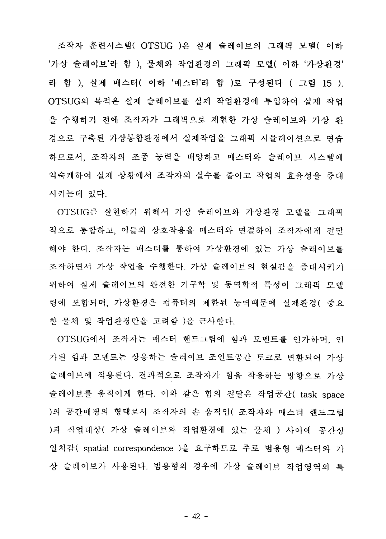조작자 훈련시스템( OTSUG )은 실제 슬레이브의 그래픽 모델( 이하 '가상 슬레이브'라 함 ). 물체와 작업환경의 그래픽 모델( 이하'가상환경' 라 학 ). 실제 매스터( 이하 '매스터'라 함 )로 구성된다 ( 그림 15 ). OTSUG의 목적은 실제 슬레이브를 실제 작업화경에 투입하여 실제 작업 을 수행하기 전에 조작자가 그래픽으로 재현한 가상 슬레이브와 가상 화 경으로 구축된 가상통합화경에서 심제작업을 그래픽 시뮬레이션으로 여습 하므로서, 조작자의 조종 능력을 배양하고 매스터와 슬레이브 시스템에 익숙케하여 실제 상황에서 조작자의 실수를 줄이고 작업의 효율성을 증대 시키는데 있다.

OTSUG를 실현하기 위해서 가상 슬레이브와 가상환경 모델을 그래픽 적으로 통합하고, 이들의 상호작용을 매스터와 연결하여 조작자에게 저담 해야 한다. 조작자는 매스터를 통하여 가상환경에 있는 가상 슬레이브를 조작하면서 가상 작업을 수행한다. 가상 슬레이브의 현실감을 증대시키기 위하여 실제 슬레이브의 완전한 기구학 및 동역학적 특성이 그래픽 모델 링에 포함되며, 가상환경은 컴퓨터의 제한된 능력때문에 실제화경( 중요 한 물체 및 작업환경만을 고려함 )을 근사한다.

OTSUG에서 조작자는 매스터 핸드그립에 힘과 모멘트를 인가하며 인 가된 힘과 모멘트는 상응하는 슬레이브 조인트공간 토크로 변화되어 가상 슬레이브에 적용된다. 결과적으로 조작자가 힘을 작용하는 방향으로 가상 슬레이브를 움직이게 한다. 이와 같은 힘의 전달은 작업공간( task space )의 공간매핑의 형태로서 조작자의 손 움직임( 조작자와 매스터 핸드그림 )과 작업대상( 가상 슬레이브와 작업환경에 있는 물체 ) 사이에 공간상 일치감( spatial correspondence )을 요구하므로 주로 범용형 매스터와 가 상 슬레이브가 사용된다. 범용형의 경우에 가상 슬레이브 작업영역의 특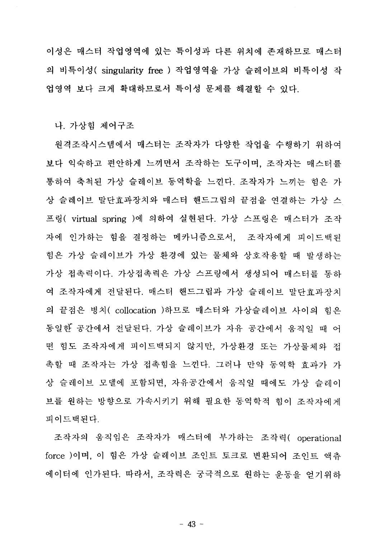이성은 매스터 작업영역에 있는 특이성과 다른 위치에 존재하므로 매스터 의 비특이성( singularity free ) 작업영역을 가상 슬레이브의 비특이성 작 업영역 보다 크게 확대하므로서 특이성 문제를 해결할 수 있다.

나. 가상힘 제어구조

워격조작시스템에서 매스터는 조작자가 다양한 작업을 수행하기 위하여 보다 익숙하고 편안하게 느끼면서 조작하는 도구이며, 조작자는 매스터를 통하여 축척된 가상 슬레이브 동역학을 느낀다. 조작자가 느끼는 힘은 가 상 슬레이브 말단효과장치와 매스터 핸드그립의 끝점을 연결하는 가상 스 프링( virtual spring )에 의하여 실현된다. 가상 스프링은 매스터가 조작 자에 인가하는 힘을 결정하는 메카니즘으로서, 조작자에게 피이드백된 힘은 가상 슬레이브가 가상 환경에 있는 물체와 상호작용할 때 발생하는 가상 접촉력이다. 가상접촉력은 가상 스프링에서 생성되어 매스터를 통하 여 조작자에게 전달된다. 매스터 핸드그립과 가상 슬레이브 말단효과장치 의 끝점은 병치( collocation )하므로 매스터와 가상슬레이브 사이의 힘은 동일한 공간에서 전달된다. 가상 슬레이브가 자유 공간에서 움직일 때 어 떤 힘도 조작자에게 피이드백되지 않지만, 가상환경 또는 가상물체와 접 촉할 때 조작자는 가상 접촉힘을 느낀다. 그러나 만약 동역학 효과가 가 상 슬레이브 모델에 포함되면, 자유공간에서 움직일 때에도 가상 슬레이 브를 원하는 방향으로 가속시키기 위해 필요한 동역학적 힘이 조작자에게 피이드백되다.

조작자의 움직임은 조작자가 매스터에 부가하는 조작력( operational force )이며, 이 힘은 가상 슬레이브 조인트 토크로 변환되어 조인트 액츄 에이터에 인가된다. 따라서, 조작력은 궁극적으로 원하는 운동을 얻기위하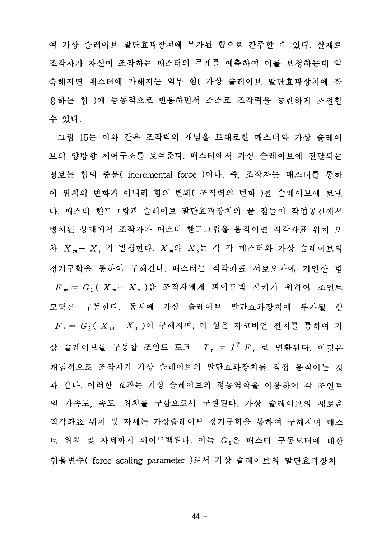여 가상 슬레이브 말단효과장치에 부가된 힘으로 간주할 수 있다. 실제로 조작자가 자신이 조작하는 매스터의 무게를 예측하여 이를 보정하는데 익 숙해지면 매스터에 가해지는 외부 힘( 가상 슬레이브 말단효과장치에 작 용하는 힘 )에 능동적으로 반응하면서 스스로 조작력을 능란하게 조절함 수 있다.

그림 15는 이와 같은 조작력의 개념을 토대로한 매스터와 가상 슬레이 브의 양방향 제어구조를 보여준다. 매스터에서 가상 슬레이브에 전달되는 정보는 힘의 증분( incremental force )이다. 즉, 조작자는 매스터를 통하 여 위치의 변화가 아니라 힘의 변화( 조작력의 변화 )를 슬레이브에 보내 다. 매스터 핸드그립과 슬레이브 말단효과장치의 끝 점들이 작업공가에서 병치된 상태에서 조작자가 매스터 핸드그립을 움직이면 직각좌표 위치 오 차  $X_m - X$ , 가 발생한다.  $X_m$ 와  $X \rightleftharpoons Y$  각 매스터와 가상 슬레이브의 정기구학을 통하여 구해진다. 매스터는 직각좌표 서보오차에 기인한 힘  $F_m = G_1 (X_m - X_s)$ 을 조작자에게 피이드백 시키기 위하여 조인트 모터를 구동한다. 동시에 가상 슬레이브 말단효과장치에 부가될 힘  $F_s = G_2 (X_m - X_s)$ 이 구해지며, 이 힘은 자코비언 전치를 통하여 가 상 슬레이브를 구동할 조인트 토크  $T_s = J^T F_s$  로 변환된다. 이것은 개념적으로 조작자가 가상 슬레이브의 말단효과장치를 직접 움직이는 것 과 같다. 이러한 효과는 가상 슬레이브의 정동역학을 이용하여 각 조인트 의 가속도, 속도, 위치를 구함으로서 구현된다. 가상 슬레이브의 새로운 직각좌표 위치 및 자세는 가상슬레이브 정기구학을 통하여 구해지며 매스 터 위치 및 자세까지 피이드백된다. 이득 G<sub>1</sub>은 매스터 구동모터에 대한 힘율변수(force scaling parameter )로서 가상 슬레이브의 말단효과장치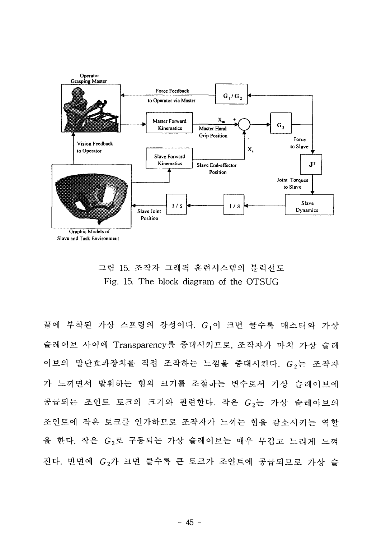



끝에 부착된 가상 스프링의 강성이다. G1이 크면 클수록 매스터와 가상 슬레이브 사이에 Transparency를 증대시키므로, 조작자가 마치 가상 슬레 이브의 말단효과장치를 직접 조작하는 느낌을 증대시킨다. G<sub>2</sub>는 조작자 가 느끼면서 발휘하는 힘의 크기를 조절하는 변수로서 가상 슬레이브에 공급되는 조인트 토크의 크기와 관련한다. 작은 G<sub>2</sub>는 가상 슬레이브의 조인트에 작은 토크를 인가하므로 조작자가 느끼는 힘을 감소시키는 역할 을 한다. 작은 G<sub>2</sub>로 구동되는 가상 슬레이브는 매우 무겁고 느리게 느껴 진다. 반면에 G<sub>2</sub>가 크면 클수록 큰 토크가 조인트에 공급되므로 가상 슬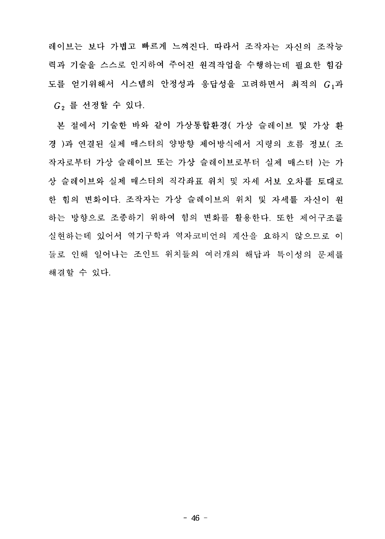레이브는 보다 가볍고 빠르게 느껴진다. 따라서 조작자는 자시의 조작능 력과 기술을 스스로 인지하여 주어진 원격작업을 수행하는데 필요한 힘감 도를 얻기위해서 시스템의 안정성과 응답성을 고려하면서 최적의 G<sub>1</sub>과 G<sub>2</sub> 를 선정할 수 있다.

본 절에서 기술한 바와 같이 가상통합환경( 가상 슬레이브 및 가상 환 경 )과 연결된 실제 매스터의 양방향 제어방식에서 지령의 흐름 정보( 조 작자로부터 가상 슬레이브 또는 가상 슬레이브로부터 실제 매스터 )는 가 상 슬레이브와 실제 매스터의 직각좌표 위치 및 자세 서보 오차를 토대로 한 힘의 변화이다. 조작자는 가상 슬레이브의 위치 및 자세를 자시이 워 하는 방향으로 조종하기 위하여 힘의 변화를 활용한다. 또한 제어구조를 실현하는데 있어서 역기구학과 역자코비언의 계산을 요하지 않으므로 이 들로 인해 일어나는 조인트 위치들의 여러개의 해답과 특이성의 뮤제를 해결할 수 있다.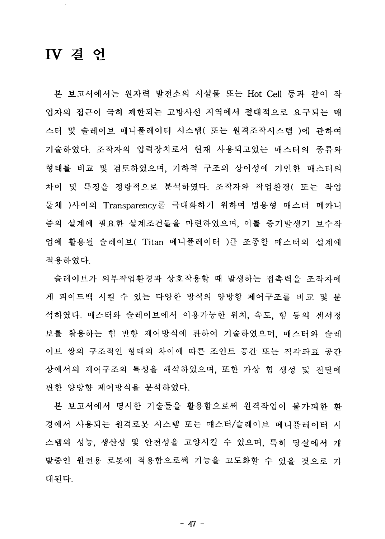### IV 겸 언

본 보고서에서는 원자력 발전소의 시설물 또는 Hot Cell 등과 같이 작 업자의 접근이 극히 제한되는 고방사선 지역에서 절대적으로 요구되는 매 스터 및 슬레이브 매니풀레이터 시스템( 또는 원격조작시스템 )에 관하여 기술하였다. 조작자의 입력장치로서 현재 사용되고있는 매스터의 종류와 형태를 비교 및 검토하였으며, 기하적 구조의 상이성에 기인한 매스터의 차이 및 특징을 정량적으로 분석하였다. 조작자와 작업환경( 또는 작업 물체 )사이의 Transparency를 극대화하기 위하여 범용형 매스터 메카니 즘의 설계에 필요한 설계조건들을 마련하였으며, 이를 증기발생기 보수작 업에 활용될 슬레이브( Titan 메니퓰레이터 )를 조종할 매스터의 설계에 적용하였다.

슬레이브가 외부작업환경과 상호작용할 때 발생하는 접촉력을 조작자에 게 피이드백 시킬 수 있는 다양한 방식의 양방향 제어구조를 비교 및 분 석하였다. 매스터와 슬레이브에서 이용가능한 위치, 속도, 힘 등의 세서정 보를 활용하는 힘 반향 제어방식에 관하여 기술하였으며, 매스터와 슬레 이브 쌍의 구조적인 형태의 차이에 따른 조인트 공간 또는 직각좌표 공간 상에서의 제어구조의 특성을 해석하였으며, 또한 가상 힘 생성 및 전달에 관한 양방향 제어방식을 분석하였다.

본 보고서에서 명시한 기술들을 활용함으로써 원격작업이 불가피한 화 경에서 사용되는 원격로봇 시스템 또는 매스터/슬레이브 메니퓰레이터 시 스템의 성능, 생산성 및 안전성을 고양시킬 수 있으며, 특히 당실에서 개 발중인 원전용 로봇에 적용함으로써 기능을 고도화할 수 있을 것으로 기 대된다.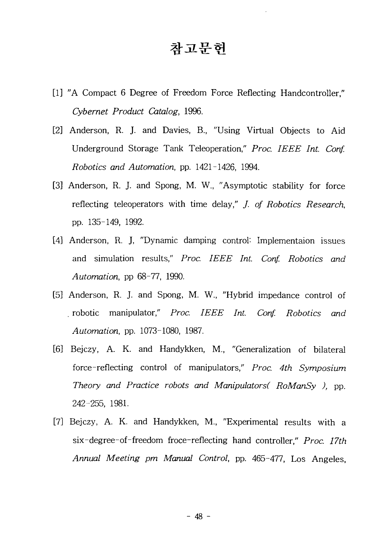### 참고문헌

- [1] "A Compact 6 Degree of Freedom Force Reflecting Handcontroller," *Cybernet Product Catalog,* 1996.
- [2] Anderson, R. J. and Davies, B., "Using Virtual Objects to Aid Underground Storage Tank Teleoperation," *Proc. IEEE Int. Conf. Robotics and Automation,* pp. 1421-1426, 1994.
- [3] Anderson, R. J. and Spong, M. W., "Asymptotic stability for force reflecting teleoperators with time delay," /. *of Robotics Research,* pp. 135-149, 1992.
- [4] Anderson, R. J, "Dynamic damping control'- Implementaion issues and simulation results," *Proc. IEEE Int. Conf. Robotics and Automation,* pp 68-77, 1990.
- [5] Anderson, R. J. and Spong, M. W., "Hybrid impedance control of . robotic manipulator," *Proc. IEEE Int. Conf. Robotics and Automation,* pp. 1073-1080, 1987.
- [6] Bejczy, A. K. and Handykken, M., "Generalization of bilateral force-reflecting control of manipulators," *Proc. 4th Symposium Theory and Practice robots and Manipulators( RoManSy )*, pp. 242-255, 1981.
- [7] Bejczy, A. K. and Handykken, M., "Experimental results with a six-degree-of-freedom froce-reflecting hand controller," *Proc. 17th Annual Meeting pm Manual Control,* pp. 465-477, Los Angeles,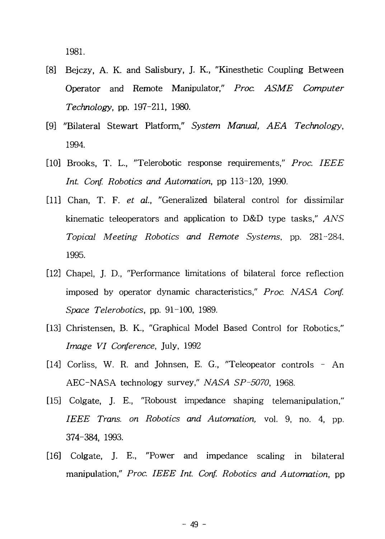1981.

- [8] Bejczy, A. K. and Salisbury, J. K., "Kinesthetic Coupling Between Operator and Remote Manipulator," *Proc. ASME Computer Technology,* pp. 197-211, 1980.
- [9] "Bilateral Stewart Platform," *System Manual, AEA Technology,* 1994.
- [10] Brooks, T. L., "Telerobotic response requirements," *Proc. IEEE Int. Conf. Robotics and Automation,* pp 113-120, 1990.
- [11] Chan, T. F. *et ai,* "Generalized bilateral control for dissimilar kinematic teleoperators and application to D&D type tasks," *ANS Topical Meeting Robotics and Remote Systems,* pp. 281-284. 1995.
- [12] Chapel, J. D., "Performance limitations of bilateral force reflection imposed by operator dynamic characteristics," *Proc. NASA Conf. Space Telerobotics,* pp. 91-100, 1989.
- [13] Christensen, B. K., "Graphical Model Based Control for Robotics," *Image VI Conference,* July, 1992
- [14] Corliss, W. R. and Johnsen, E. G., "Teleopeator controls An AEC-NASA technology survey," *NASA SP-5070,* 1968.
- [15] Colgate, J. E., "Roboust impedance shaping telemanipulation," *IEEE Trans, on Robotics and Automation,* vol. 9, no. 4, pp. 374-384, 1993.
- [16] Colgate, J. E., "Power and impedance scaling in bilateral manipulation," *Proc. IEEE Int. Conf. Robotics and Automation,* pp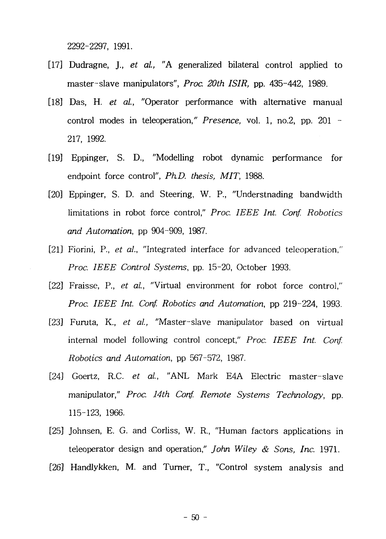2292-2297, 1991.

- [17] Dudragne, J., *et al, "A* generalized bilateral control applied to master-slave manipulators", *Proc. 20th ISIR,* pp. 435-442, 1989.
- [18] Das, H. *et al,* "Operator performance with alternative manual control modes in teleoperation," *Presence,* vol. 1, no.2, pp. 201 - 217, 1992.
- [19] Eppinger, S. D., "Modelling robot dynamic performance for endpoint force control", *PhD. thesis, MIT,* 1988.
- [20] Eppinger, S. D. and Steering, W. P., "Understnading bandwidth limitations in robot force control," *Proc. IEEE Int. Conf. Robotics and Automation,* pp 904-909, 1987.
- [21] Fiorini, P., *et al.*, "Integrated interface for advanced teleoperation," *Proc. IEEE Control Systems,* pp. 15-20, October 1993.
- [22] Fraisse, P., *et al,* "Virtual environment for robot force control," *Proc. IEEE Int. Conf. Robotics and Automation,* pp 219-224, 1993.
- [23] Furuta, K., *et al.,* "Master-slave manipulator based on virtual internal model following control concept," *Proc. IEEE Int. Conf. Robotics and Automation,* pp 567-572, 1987.
- [24] Goertz, R.C. *et al.,* "ANL Mark E4A Electric master-slave manipulator," *Proc. 14th Conf. Remote Systems Technology,* pp. 115-123, 1966.
- [25] Johnsen, E. G. and Corliss, W. R., "Human factors applications in teleoperator design and operation," *John Wiley & Sons, Inc.* 1971.
- [26] Handlykken, M. and Turner, T., "Control system analysis and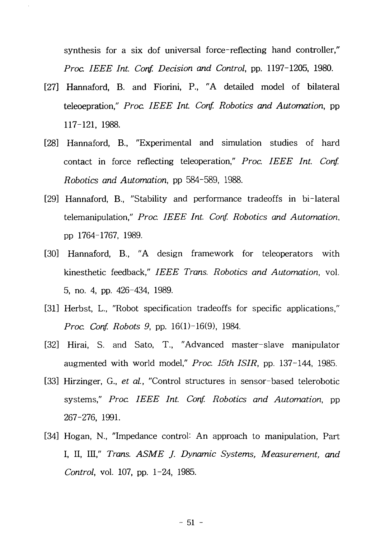synthesis for a six dof universal force-reflecting hand controller," *Proa IEEE Int. Conf. Decision and Control,* pp. 1197-1205, 1980.

- [27] Hannaford, B. and Fiorini, P., "A detailed model of bilateral teleoepration," *Proa IEEE Int. Conf. Robotics and Automation,* pp 117-121, 1988.
- [28] Hannaford, B., "Experimental and simulation studies of hard contact in force reflecting teleoperation," Proc. IEEE Int. Conf. *Robotics and Automation,* pp 584-589, 1988.
- [29] Hannaford, B., "Stability and performance tradeoffs in bi-lateral telemanipulation," *Proc. IEEE Int. Conf. Robotics and Automation,* pp 1764-1767, 1989.
- [30] Hannaford, B., "A design framework for teleoperators with kinesthetic feedback," *IEEE Trans. Robotics and Automation,* vol. 5, no. 4, pp. 426-434, 1989.
- [31] Herbst, L., "Robot specification tradeoffs for specific applications," *Proc. Conf. Robots 9,* pp. 16(1)-16(9), 1984.
- [32] Hirai, S. and Sato, T., "Advanced master-slave manipulator augmented with world model," *Proc. 15th ISIR,* pp. 137-144, 1985.
- [33] Hirzinger, G., *et al,* "Control structures in sensor-based telerobotic systems," *Proc. IEEE Int. Conf. Robotics and Automation,* pp 267-276, 1991.
- [34] Hogan, N., "Impedance control: An approach to manipulation, Part I, II, III," *Trans. ASME J. Dynamic Systems, Measurement, and Control,* vol. 107, pp. 1-24, 1985.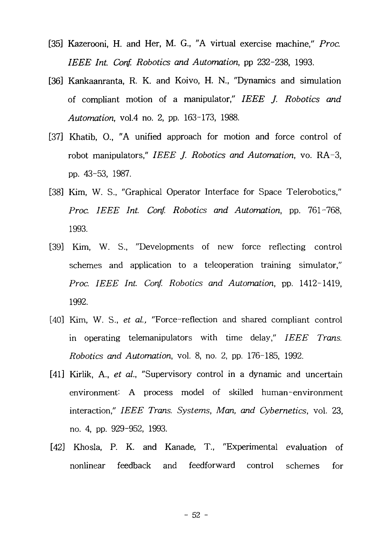- [35] Kazerooni, H. and Her, M. G., "A virtual exercise machine," *Proc. IEEE Int. Conf. Robotics and Automation,* pp 232-238, 1993.
- [36] Kankaanranta, R. K. and Koivo, H. N., "Dynamics and simulation of compliant motion of a manipulator," *IEEE J. Robotics and Automation,* vol.4 no. 2, pp. 163-173, 1988.
- [37] Khatib, O., "A unified approach for motion and force control of robot manipulators," *IEEE J. Robotics and Automation,* vo. RA-3, pp. 43-53, 1987.
- [38] Kim, W. S., "Graphical Operator Interface for Space Telerobotics," *Proc. IEEE Int. Conf. Robotics and Automation,* pp. 761-768, 1993.
- [39] Kim, W. S., "Developments of new force reflecting control schemes and application to a teleoperation training simulator," *Proc. IEEE Int. Conf. Robotics and Automation,* pp. 1412-1419, 1992.
- [40] Kim, W. S., *et al,* "Force-reflection and shared compliant control in operating telemanipulators with time delay," *IEEE Trans. Robotics and Automation,* vol. 8, no. 2, pp. 176-185, 1992.
- [41] Kirlik, A., *et al.,* "Supervisory control in a dynamic and uncertain environment: A process model of skilled human-environment interaction," *IEEE Trans. Systems, Man, and Cybernetics,* vol. 23, no. 4, pp. 929-952, 1993.
- [42] Khosla, P. K. and Kanade, T., "Experimental evaluation of nonlinear feedback and feedforward control schemes for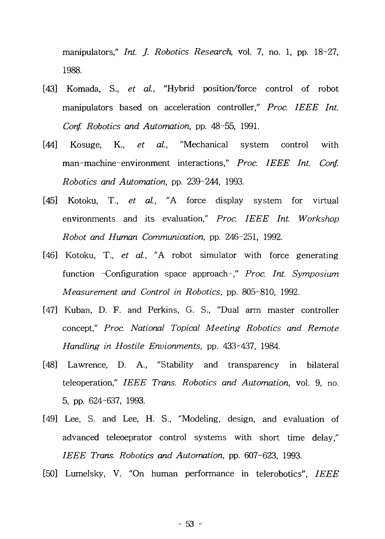manipulators," *Int. J. Robotics Research,* vol. 7, no. 1, pp. 18-27, 1988.

- [43] Komada, S., *et al,* "Hybrid position/force control of robot manipulators based on acceleration controller," Proc. IEEE Int. *Conf. Robotics and Automation,* pp. 48-55, 1991.
- [44] Kosuge, K., *et al.,* "Mechanical system control with man-machine-environment interactions," *Proc. IEEE Int. Conf. Robotics and Automation,* pp. 239-244, 1993.
- [45] Kotoku, T., *et al.,* "A force display system for virtual environments and its evaluation," *Proc. IEEE Int. Workshop Robot and Human Communication,* pp. 246-251, 1992.
- [46] Kotoku, T., *et al.,* "A robot simulator with force generating function -Configuration space approach-," *Proc. Int. Symposium Measurement and Control in Robotics,* pp. 805-810, 1992.
- [47] Kuban, D. F. and Perkins, G. S., "Dual arm master controller concept," *Proc. National Topical Meeting Robotics and Remote Handling in Hostile Envionments,* pp. 433-437, 1984.
- [48] Lawrence, D. A., "Stability and transparency in bilateral teleoperation," *IEEE Trans. Robotics and Automation,* vol. 9, no. 5, pp. 624-637, 1993.
- [49] Lee, S. and Lee, H. S., "Modeling, design, and evaluation of advanced teleoeprator control systems with short time delay," *IEEE Trans. Robotics and Automation,* pp. 607-623, 1993.
- [50] Lumelsky, V. "On human performance in telerobotics", *IEEE*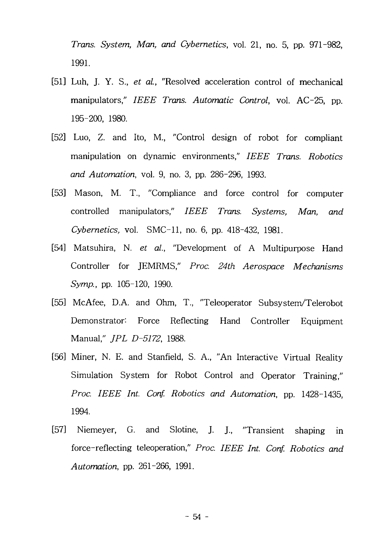*Trans. System, Man, and Cybernetics,* vol. 21, no. 5, pp. 971-982, 1991.

- [51] Luh, J. Y. S., *et al,* "Resolved acceleration control of mechanical manipulators," *IEEE Trans. Automatic Control,* vol. AC-25, pp. 195-200, 1980.
- [52] Luo, Z. and Ito, M., "Control design of robot for compliant manipulation on dynamic environments," *IEEE Trans. Robotics and Automation,* vol. 9, no. 3, pp. 286-296, 1993.
- [53] Mason, M. T., "Compliance and force control for computer controlled manipulators," *IEEE Trans. Systems, Man, and Cybernetics,* vol. SMC-11, no. 6, pp. 418-432, 1981.
- [54] Matsuhira, N. *et al.,* "Development of A Multipurpose Hand Controller for JEMRMS," *Proc. 24th Aerospace Mechanisms Symp.,* pp. 105-120, 1990.
- [55] McAfee, D.A. and Ohm, T., "Teleoperator Subsystem/Telerobot Demonstrator: Force Reflecting Hand Controller Equipment Manual," *JPL D-5172,* 1988.
- [56] Miner, N. E. and Stanfield, S. A., "An Interactive Virtual Reality Simulation System for Robot Control and Operator Training," *Proc. IEEE Int. Conf. Robotics and Automation,* pp. 1428-1435, 1994.
- [57] Niemeyer, G. and Slotine, J. J., "Transient shaping in force-reflecting teleoperation," *Proc. IEEE Int. Conf. Robotics and Automation,* pp. 261-266, 1991.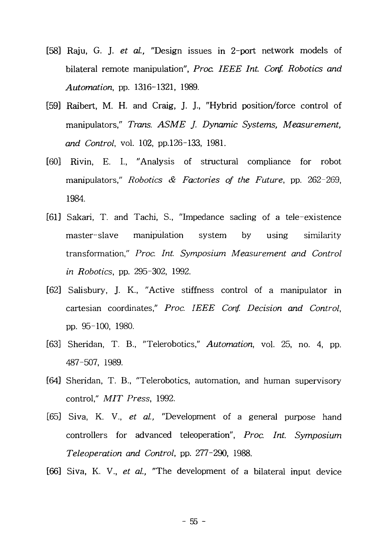- [58] Raju, G. J. *et al,* "Design issues in 2-port network models of bilateral remote manipulation", *Proa IEEE Int. Conf. Robotics and Automation,* pp. 1316-1321, 1989.
- [59] Raibert, M. H. and Craig, J. J., "Hybrid position/force control of manipulators," *Trans. ASME J. Dynamic Systems, Measurement, and Control,* vol. 102, pp.126-133, 1981.
- [60] Rivin, E. I., "Analysis of structural compliance for robot manipulators," *Robotics & Factories of the Future,* pp. 262-269, 1984.
- [61] Sakari, T. and Tachi, S., "Impedance sacling of a tele-existence master-slave manipulation system by using similarity transformation," *Proc. Int. Symposium Measurement and Control in Robotics,* pp. 295-302, 1992.
- [62] Salisbury, J. K., "Active stiffness control of a manipulator in cartesian coordinates," *Proc. IEEE Conf. Decision and Control,* pp. 95-100, 1980.
- [63] Sheridan, T. B., "Telerobotics," *Automation,* vol. 25, no. 4, pp. 487-507, 1989.
- [64] Sheridan, T. B., "Telerobotics, automation, and human supervisory control," *MIT Press,* 1992.
- [65] Siva, K. V., *et al.,* "Development of a general purpose hand controllers for advanced teleoperation", *Proc. Int. Symposium Teleoperation and Control,* pp. 277-290, 1988.
- [66] Siva, K. V., *et at,* "The development of a bilateral input device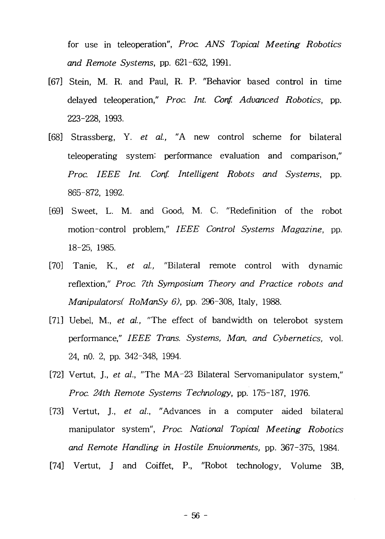for use in teleoperation", *Proc ANS Topical Meeting Robotics and Remote Systems,* pp. 621-632, 1991.

- [67] Stein, M. R. and Paul, R. P. "Behavior based control in time delayed teleoperation," *Proc. Int. Conf. Advanced Robotics,* pp. 223-228, 1993.
- [68] Strassberg, Y. *et al,* "A new control scheme for bilateral teleoperating system: performance evaluation and comparison," *Proc. IEEE Int. Conf. Intelligent Robots and Systems,* pp. 865-872, 1992.
- [69] Sweet, L. M. and Good, M. C. "Redefinition of the robot motion-control problem," *IEEE Control Systems Magazine,* pp. 18-25, 1985.
- [70] Tanie, K., *et al.,* "Bilateral remote control with dynamic reflextion," *Proc. 7th Symposium Theory and Practice robots and Manipulator RoManSy 6),* pp. 296-308, Italy, 1988.
- [71] Uebel, M., *et al.,* "The effect of bandwidth on telerobot system performance," *IEEE Trans. Systems, Man, and Cybernetics,* vol. 24, nO. 2, pp. 342-348, 1994.
- [72] Vertut, J., *et al.,* "The MA-23 Bilateral Servomanipulator system," *Proc. 24th Remote Systems Technology,* pp. 175-187, 1976.
- [73] Vertut, J., *et al.,* "Advances in a computer aided bilateral manipulator system", *Proc. National Topical Meeting Robotics and Remote Handling in Hostile Envionments,* pp. 367-375, 1984.
- [74] Vertut, J and Coiffet, P., "Robot technology, Volume 3B,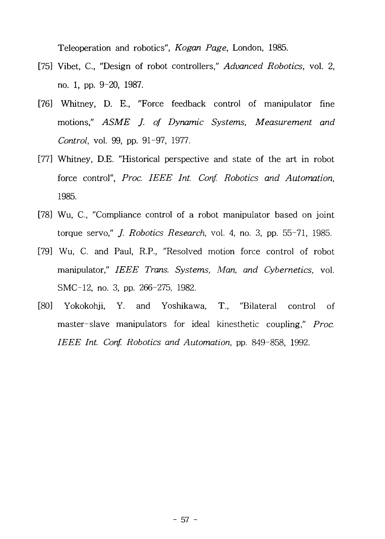Teleoperation and robotics", *Kogan Page,* London, 1985.

- [75] Vibet, C, "Design of robot controllers," *Advanced Robotics,* vol. 2, no. 1, pp. 9-20, 1987.
- [76] Whitney, D. E., "Force feedback control of manipulator fine motions," *ASME J. of Dynamic Systems, Measurement and Control,* vol. 99, pp. 91-97, 1977.
- [77] Whitney, D.E. "Historical perspective and state of the art in robot force control", *Proc. IEEE Int. Conf. Robotics and Automation,* 1985.
- [78] Wu, C, "Compliance control of a robot manipulator based on joint torque servo," /. *Robotics Research,* vol. 4, no. 3, pp. 55-71, 1985.
- [79] Wu, C. and Paul, R.P., "Resolved motion force control of robot manipulator," *IEEE Trans. Systems, Man, and Cybernetics,* vol. SMC-12, no. 3, pp. 266-275, 1982.
- [80] Yokokohji, Y. and Yoshikawa, T., "Bilateral control of master-slave manipulators for ideal kinesthetic coupling," *Proc. IEEE Int. Conf. Robotics and Automation,* pp. 849-858, 1992.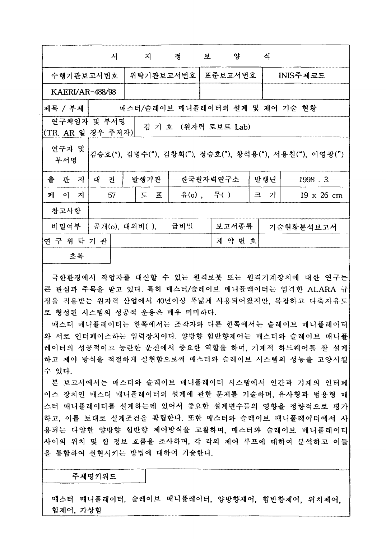|                                   |                        | 서 | $\mathbb{Z}$        | 정                   |  | 양<br>보っている いっしゃ | 식      |                                                        |  |
|-----------------------------------|------------------------|---|---------------------|---------------------|--|-----------------|--------|--------------------------------------------------------|--|
| 수행기관보고서번호                         |                        |   | 위탁기관보고서번호           |                     |  | 표준보고서번호         |        | INIS주제코드                                               |  |
| <b>KAERI/AR-488/98</b>            |                        |   |                     |                     |  |                 |        |                                                        |  |
| 제목 / 부제                           |                        |   |                     |                     |  |                 |        | 매스터/슬레이브 매니퓰레이터의 설계 및 제어 기술 현황                         |  |
| 연구책임자 및 부서명<br> (TR, AR 일 경우 주저자) |                        |   |                     | 김 기 호 (원자력 로보트 Lab) |  |                 |        |                                                        |  |
| 연구자 및<br>부서명                      |                        |   |                     |                     |  |                 |        | 김승호("), 김병수("), 김창회("), 정승호("), 황석용("), 서용칠("), 이영광(") |  |
| 출<br>관<br>- 지                     | 발행기관<br>전<br>대         |   |                     |                     |  | 한국원자력연구소        | 발행년    | 1998.3.                                                |  |
| 페<br>이 지<br>57                    |                        |   | 도<br>$\overline{H}$ | 유(o), 무()           |  |                 | 기<br>크 | $19 \times 26$ cm                                      |  |
| 참고사항                              |                        |   |                     |                     |  |                 |        |                                                        |  |
| 비밀여부                              | ' 공개(o), 대외비( ), _ 급비밀 |   |                     |                     |  | 보고서종류           |        | 기술현황분석보고서                                              |  |
| 연 구 위 탁 기 관                       |                        |   |                     |                     |  | 계약번호            |        |                                                        |  |
| 초록                                |                        |   |                     |                     |  |                 |        |                                                        |  |

극한환경에서 작업자를 대신할 수 있는 원격로봇 또는 원격기계장치에 대한 연구는 큰 관심과 주목을 받고 있다. 특히 매스터/슬레이브 매니퓰레이터는 엄격한 ALARA 규 정을 적용받는 원자력 산업에서 40년이상 폭넓게 사용되어왔지만, 복잡하고 다축자유도 로 형성된 시스템의 성공적 운용은 매우 미미하다.

매스터 매니퓰레이터는 한쪽에서는 조작자와 다른 한쪽에서는 슬레이브 매니퓰레이터 와 서로 인터페이스하는 입력장치이다. 양방향 힘반향제어는 매스터와 슬레이브 매니퓸 레이터의 성공적이고 능란한 운전에서 중요한 역할을 하며, 기계적 하드웨어를 잘 설계 하고 제어 방식을 적절하게 실현함으로써 매스터와 슬레이브 시스템의 성능을 고양시킬 수 있다.

본 보고서에서는 매스터와 슬레이브 매니풀레이터 시스템에서 인간과 기계의 인터페 이스 장치인 매스터 매니퓰레이터의 설계에 관한 문제를 기술하며, 유사형과 범용형 매 스터 매니퓰레이터를 설계하는데 있어서 중요한 설계변수들의 영향을 정량적으로 평가 하고, 이를 토대로 설계조건을 확립한다. 또한 매스터와 슬레이브 매니풀레이터에서 사 용되는 다양한 양방향 힘반향 제어방식을 고찰하며, 매스터와 슬레이브 매니퓰레이터 사이의 위치 및 힘 정보 흐름을 조사하며, 각 각의 제어 루프에 대하여 분석하고 이들 올 통합하여 실현시키는 방법에 대하여 기술한다.

주제명키워드

매스터 매니풀레이터, 슬레이브 매니퓰레이터, 양방향제어, 힘반향제어, 위치제어, 힘제어, 가상힘